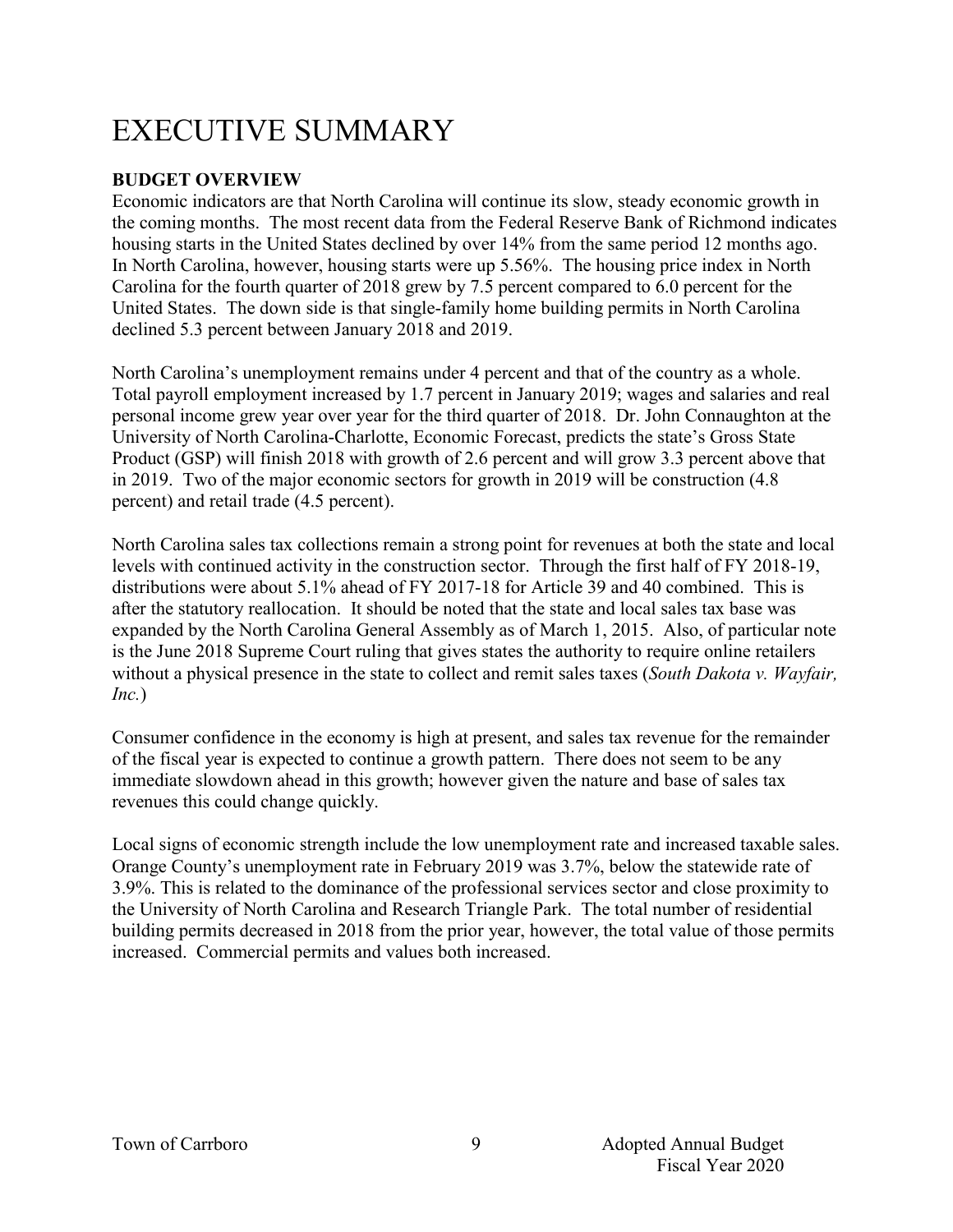# EXECUTIVE SUMMARY

### **BUDGET OVERVIEW**

Economic indicators are that North Carolina will continue its slow, steady economic growth in the coming months. The most recent data from the Federal Reserve Bank of Richmond indicates housing starts in the United States declined by over 14% from the same period 12 months ago. In North Carolina, however, housing starts were up 5.56%. The housing price index in North Carolina for the fourth quarter of 2018 grew by 7.5 percent compared to 6.0 percent for the United States. The down side is that single-family home building permits in North Carolina declined 5.3 percent between January 2018 and 2019.

North Carolina's unemployment remains under 4 percent and that of the country as a whole. Total payroll employment increased by 1.7 percent in January 2019; wages and salaries and real personal income grew year over year for the third quarter of 2018. Dr. John Connaughton at the University of North Carolina-Charlotte, Economic Forecast, predicts the state's Gross State Product (GSP) will finish 2018 with growth of 2.6 percent and will grow 3.3 percent above that in 2019. Two of the major economic sectors for growth in 2019 will be construction (4.8 percent) and retail trade (4.5 percent).

North Carolina sales tax collections remain a strong point for revenues at both the state and local levels with continued activity in the construction sector. Through the first half of FY 2018-19, distributions were about 5.1% ahead of FY 2017-18 for Article 39 and 40 combined. This is after the statutory reallocation. It should be noted that the state and local sales tax base was expanded by the North Carolina General Assembly as of March 1, 2015. Also, of particular note is the June 2018 Supreme Court ruling that gives states the authority to require online retailers without a physical presence in the state to collect and remit sales taxes (*South Dakota v. Wayfair, Inc.*)

Consumer confidence in the economy is high at present, and sales tax revenue for the remainder of the fiscal year is expected to continue a growth pattern. There does not seem to be any immediate slowdown ahead in this growth; however given the nature and base of sales tax revenues this could change quickly.

Local signs of economic strength include the low unemployment rate and increased taxable sales. Orange County's unemployment rate in February 2019 was 3.7%, below the statewide rate of 3.9%. This is related to the dominance of the professional services sector and close proximity to the University of North Carolina and Research Triangle Park. The total number of residential building permits decreased in 2018 from the prior year, however, the total value of those permits increased. Commercial permits and values both increased.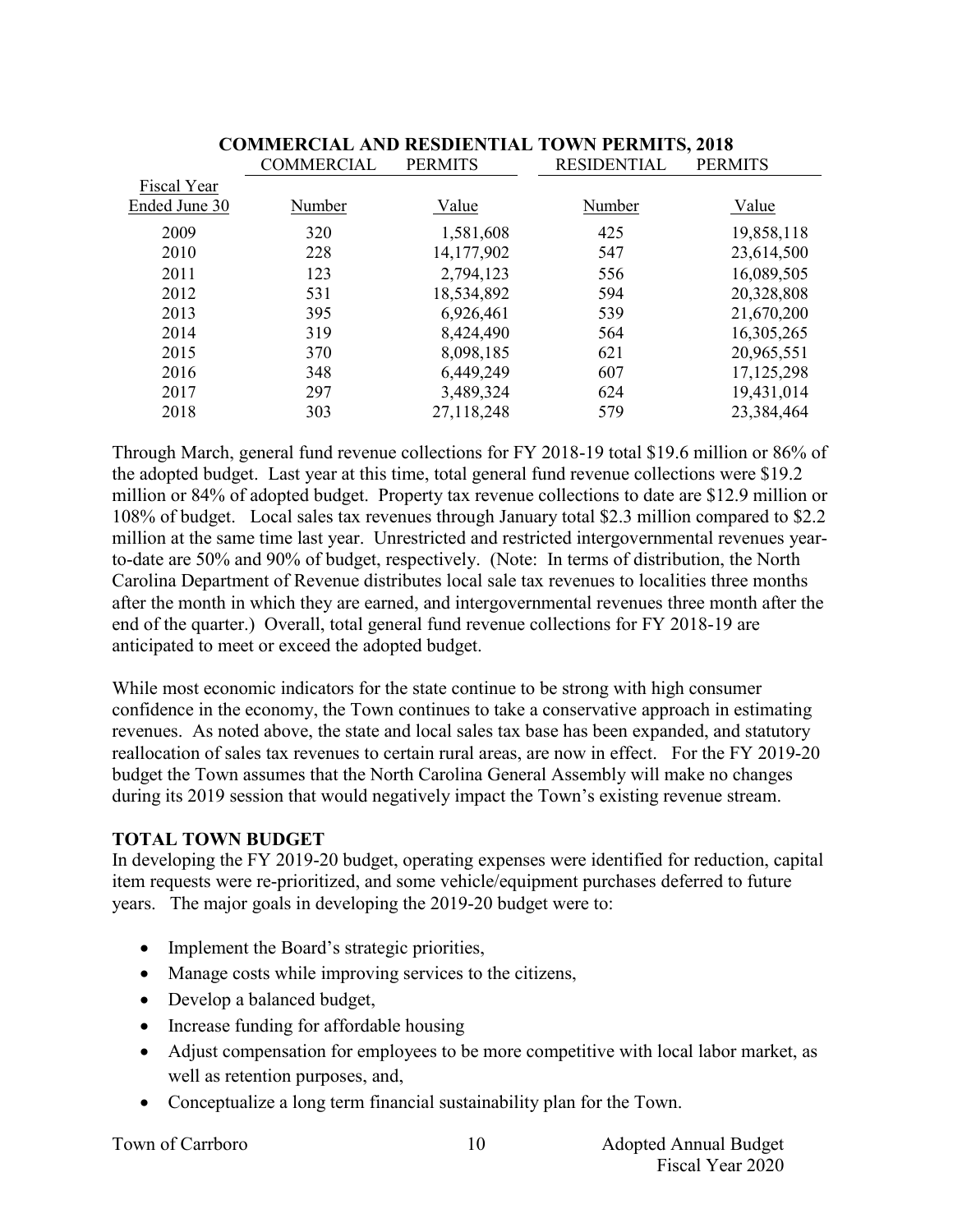|               | <b>COMMERCIAL</b> | <b>PERMITS</b> | <b>RESIDENTIAL</b> | <b>PERMITS</b> |
|---------------|-------------------|----------------|--------------------|----------------|
| Fiscal Year   |                   |                |                    |                |
| Ended June 30 | Number            | Value          | Number             | Value          |
| 2009          | 320               | 1,581,608      | 425                | 19,858,118     |
| 2010          | 228               | 14,177,902     | 547                | 23,614,500     |
| 2011          | 123               | 2,794,123      | 556                | 16,089,505     |
| 2012          | 531               | 18,534,892     | 594                | 20,328,808     |
| 2013          | 395               | 6,926,461      | 539                | 21,670,200     |
| 2014          | 319               | 8,424,490      | 564                | 16,305,265     |
| 2015          | 370               | 8,098,185      | 621                | 20,965,551     |
| 2016          | 348               | 6,449,249      | 607                | 17,125,298     |
| 2017          | 297               | 3,489,324      | 624                | 19,431,014     |
| 2018          | 303               | 27,118,248     | 579                | 23,384,464     |

### **COMMERCIAL AND RESDIENTIAL TOWN PERMITS, 2018**

Through March, general fund revenue collections for FY 2018-19 total \$19.6 million or 86% of the adopted budget. Last year at this time, total general fund revenue collections were \$19.2 million or 84% of adopted budget. Property tax revenue collections to date are \$12.9 million or 108% of budget. Local sales tax revenues through January total \$2.3 million compared to \$2.2 million at the same time last year. Unrestricted and restricted intergovernmental revenues yearto-date are 50% and 90% of budget, respectively. (Note: In terms of distribution, the North Carolina Department of Revenue distributes local sale tax revenues to localities three months after the month in which they are earned, and intergovernmental revenues three month after the end of the quarter.) Overall, total general fund revenue collections for FY 2018-19 are anticipated to meet or exceed the adopted budget.

While most economic indicators for the state continue to be strong with high consumer confidence in the economy, the Town continues to take a conservative approach in estimating revenues. As noted above, the state and local sales tax base has been expanded, and statutory reallocation of sales tax revenues to certain rural areas, are now in effect. For the FY 2019-20 budget the Town assumes that the North Carolina General Assembly will make no changes during its 2019 session that would negatively impact the Town's existing revenue stream.

### **TOTAL TOWN BUDGET**

In developing the FY 2019-20 budget, operating expenses were identified for reduction, capital item requests were re-prioritized, and some vehicle/equipment purchases deferred to future years. The major goals in developing the 2019-20 budget were to:

- Implement the Board's strategic priorities,
- Manage costs while improving services to the citizens,
- Develop a balanced budget,
- Increase funding for affordable housing
- Adjust compensation for employees to be more competitive with local labor market, as well as retention purposes, and,
- Conceptualize a long term financial sustainability plan for the Town.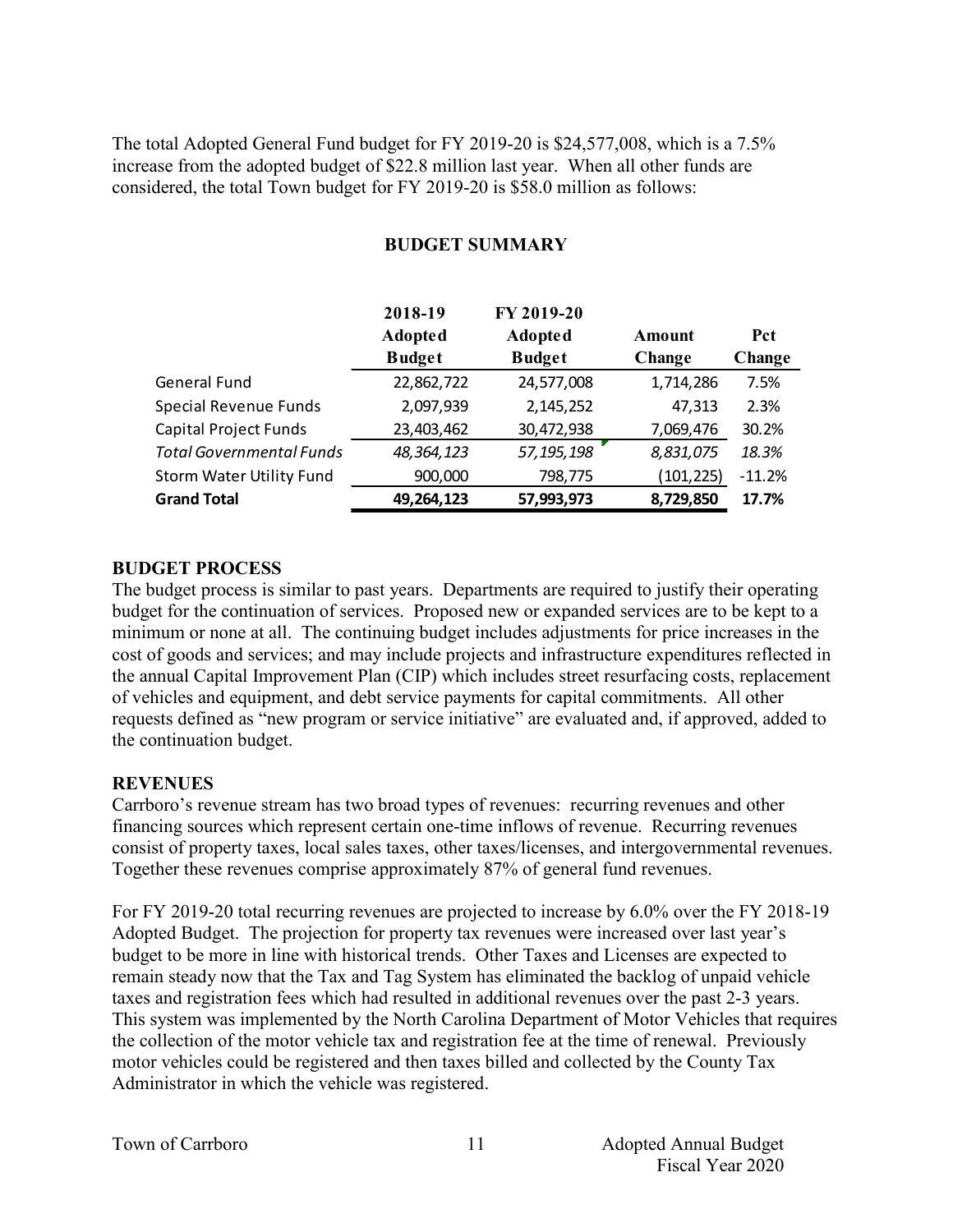The total Adopted General Fund budget for FY 2019-20 is \$24,577,008, which is a 7.5% increase from the adopted budget of \$22.8 million last year. When all other funds are considered, the total Town budget for FY 2019-20 is \$58.0 million as follows:

|                                 | 2018-19        | FY 2019-20     |            |            |
|---------------------------------|----------------|----------------|------------|------------|
|                                 | <b>Adopted</b> | <b>Adopted</b> | Amount     | <b>Pct</b> |
|                                 | <b>Budget</b>  | <b>Budget</b>  | Change     | Change     |
| General Fund                    | 22,862,722     | 24,577,008     | 1,714,286  | 7.5%       |
| <b>Special Revenue Funds</b>    | 2,097,939      | 2,145,252      | 47,313     | 2.3%       |
| <b>Capital Project Funds</b>    | 23,403,462     | 30,472,938     | 7,069,476  | 30.2%      |
| <b>Total Governmental Funds</b> | 48,364,123     | 57, 195, 198   | 8,831,075  | 18.3%      |
| <b>Storm Water Utility Fund</b> | 900,000        | 798,775        | (101, 225) | $-11.2%$   |
| <b>Grand Total</b>              | 49,264,123     | 57,993,973     | 8,729,850  | 17.7%      |

### **BUDGET SUMMARY**

### **BUDGET PROCESS**

The budget process is similar to past years. Departments are required to justify their operating budget for the continuation of services. Proposed new or expanded services are to be kept to a minimum or none at all. The continuing budget includes adjustments for price increases in the cost of goods and services; and may include projects and infrastructure expenditures reflected in the annual Capital Improvement Plan (CIP) which includes street resurfacing costs, replacement of vehicles and equipment, and debt service payments for capital commitments. All other requests defined as "new program or service initiative" are evaluated and, if approved, added to the continuation budget.

### **REVENUES**

Carrboro's revenue stream has two broad types of revenues: recurring revenues and other financing sources which represent certain one-time inflows of revenue. Recurring revenues consist of property taxes, local sales taxes, other taxes/licenses, and intergovernmental revenues. Together these revenues comprise approximately 87% of general fund revenues.

For FY 2019-20 total recurring revenues are projected to increase by 6.0% over the FY 2018-19 Adopted Budget. The projection for property tax revenues were increased over last year's budget to be more in line with historical trends. Other Taxes and Licenses are expected to remain steady now that the Tax and Tag System has eliminated the backlog of unpaid vehicle taxes and registration fees which had resulted in additional revenues over the past 2-3 years. This system was implemented by the North Carolina Department of Motor Vehicles that requires the collection of the motor vehicle tax and registration fee at the time of renewal. Previously motor vehicles could be registered and then taxes billed and collected by the County Tax Administrator in which the vehicle was registered.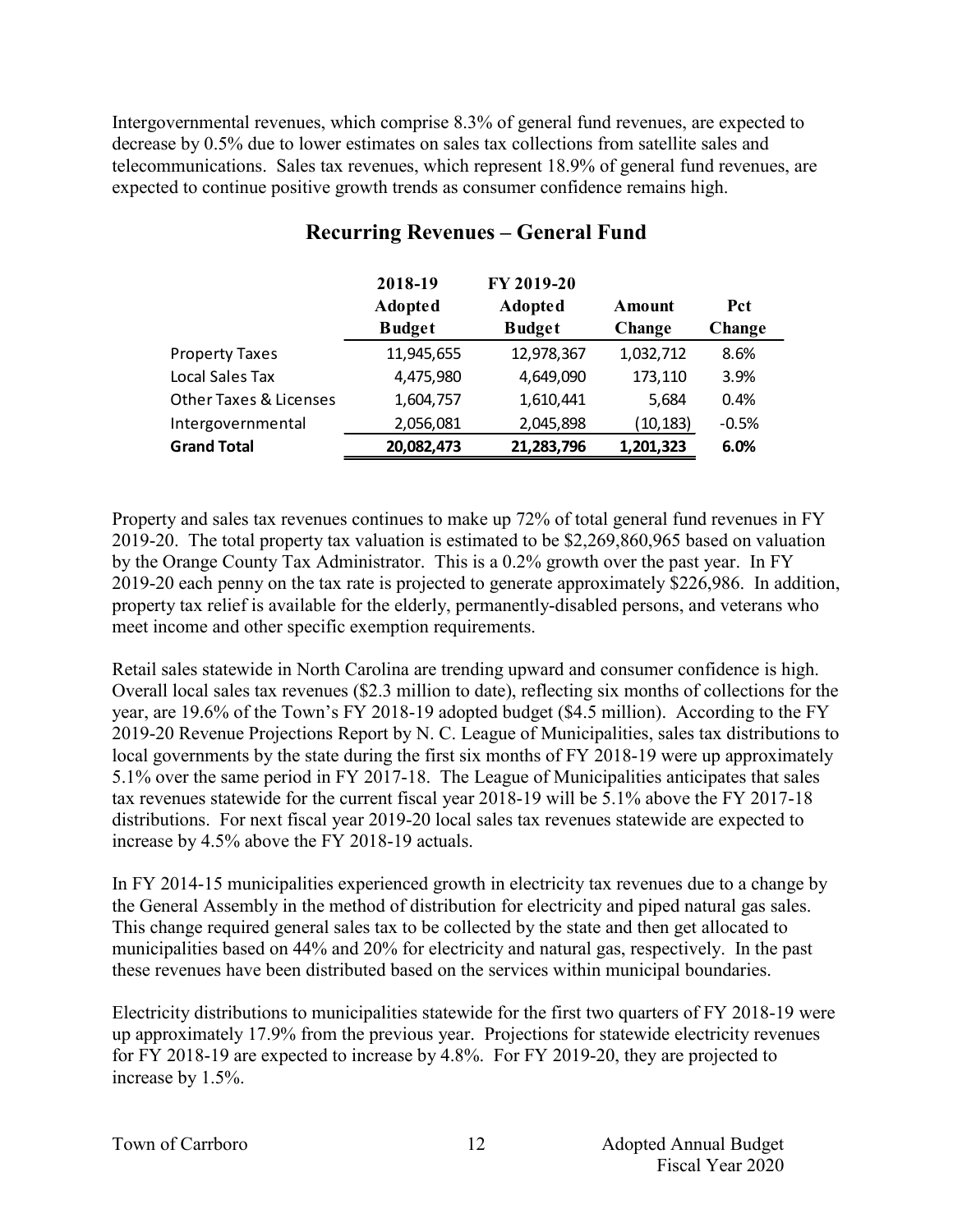Intergovernmental revenues, which comprise 8.3% of general fund revenues, are expected to decrease by 0.5% due to lower estimates on sales tax collections from satellite sales and telecommunications. Sales tax revenues, which represent 18.9% of general fund revenues, are expected to continue positive growth trends as consumer confidence remains high.

|                                   | 2018-19<br><b>Adopted</b><br><b>Budget</b> | FY 2019-20<br><b>Adopted</b><br><b>Budget</b> | Amount<br>Change | Pct<br>Change |  |
|-----------------------------------|--------------------------------------------|-----------------------------------------------|------------------|---------------|--|
| <b>Property Taxes</b>             | 11,945,655                                 | 12,978,367                                    | 1,032,712        | 8.6%          |  |
| Local Sales Tax                   | 4,475,980                                  | 4,649,090                                     | 173,110          | 3.9%          |  |
| <b>Other Taxes &amp; Licenses</b> | 1,604,757                                  | 1,610,441                                     | 5,684            | 0.4%          |  |
| Intergovernmental                 | 2,056,081                                  | 2,045,898                                     | (10, 183)        | $-0.5%$       |  |
| <b>Grand Total</b>                | 20,082,473                                 | 21,283,796                                    | 1,201,323        | 6.0%          |  |

# **Recurring Revenues – General Fund**

Property and sales tax revenues continues to make up 72% of total general fund revenues in FY 2019-20. The total property tax valuation is estimated to be \$2,269,860,965 based on valuation by the Orange County Tax Administrator. This is a 0.2% growth over the past year. In FY 2019-20 each penny on the tax rate is projected to generate approximately \$226,986. In addition, property tax relief is available for the elderly, permanently-disabled persons, and veterans who meet income and other specific exemption requirements.

Retail sales statewide in North Carolina are trending upward and consumer confidence is high. Overall local sales tax revenues (\$2.3 million to date), reflecting six months of collections for the year, are 19.6% of the Town's FY 2018-19 adopted budget (\$4.5 million). According to the FY 2019-20 Revenue Projections Report by N. C. League of Municipalities, sales tax distributions to local governments by the state during the first six months of FY 2018-19 were up approximately 5.1% over the same period in FY 2017-18. The League of Municipalities anticipates that sales tax revenues statewide for the current fiscal year 2018-19 will be 5.1% above the FY 2017-18 distributions. For next fiscal year 2019-20 local sales tax revenues statewide are expected to increase by 4.5% above the FY 2018-19 actuals.

In FY 2014-15 municipalities experienced growth in electricity tax revenues due to a change by the General Assembly in the method of distribution for electricity and piped natural gas sales. This change required general sales tax to be collected by the state and then get allocated to municipalities based on 44% and 20% for electricity and natural gas, respectively. In the past these revenues have been distributed based on the services within municipal boundaries.

Electricity distributions to municipalities statewide for the first two quarters of FY 2018-19 were up approximately 17.9% from the previous year. Projections for statewide electricity revenues for FY 2018-19 are expected to increase by 4.8%. For FY 2019-20, they are projected to increase by 1.5%.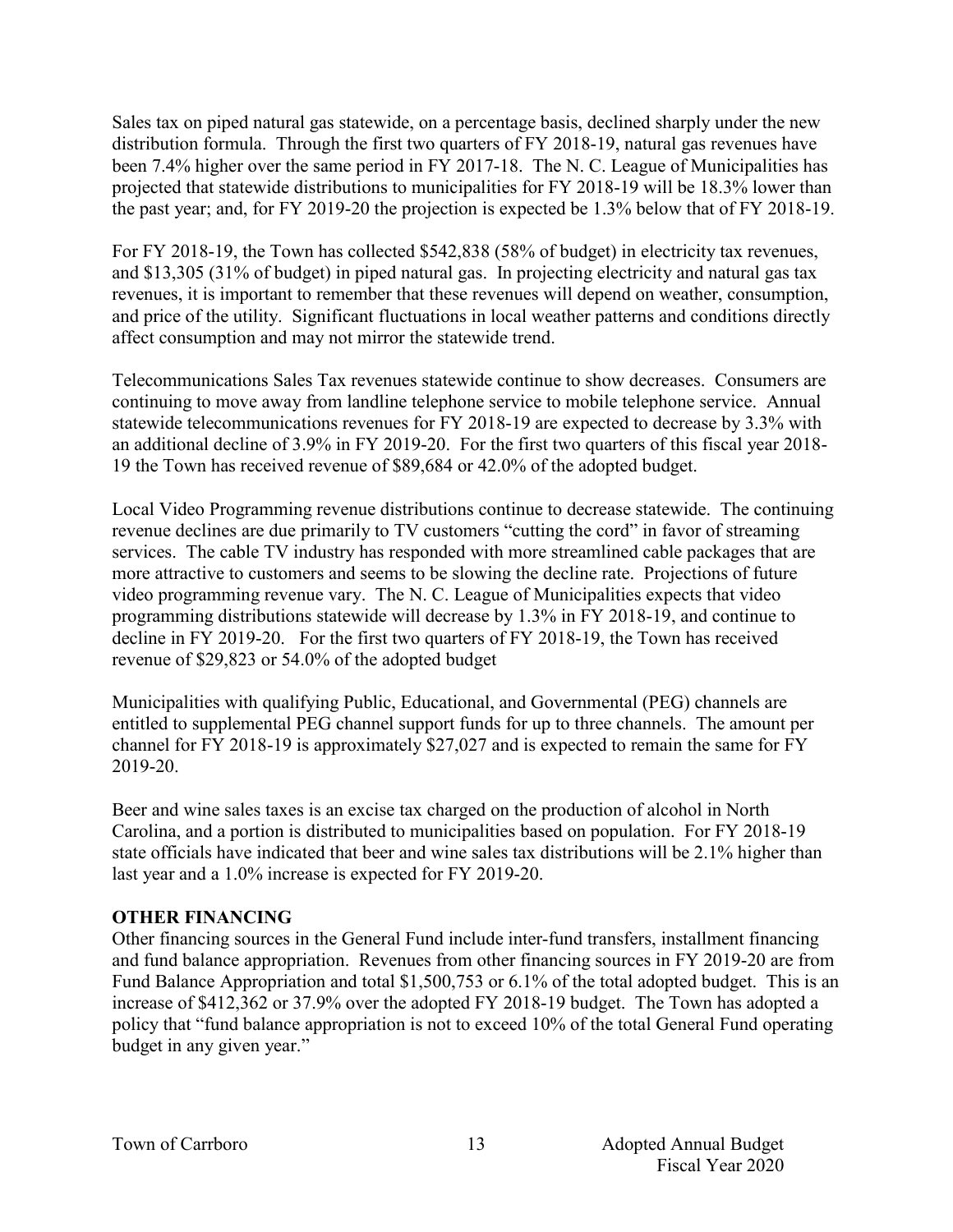Sales tax on piped natural gas statewide, on a percentage basis, declined sharply under the new distribution formula. Through the first two quarters of FY 2018-19, natural gas revenues have been 7.4% higher over the same period in FY 2017-18. The N. C. League of Municipalities has projected that statewide distributions to municipalities for FY 2018-19 will be 18.3% lower than the past year; and, for FY 2019-20 the projection is expected be 1.3% below that of FY 2018-19.

For FY 2018-19, the Town has collected \$542,838 (58% of budget) in electricity tax revenues, and \$13,305 (31% of budget) in piped natural gas. In projecting electricity and natural gas tax revenues, it is important to remember that these revenues will depend on weather, consumption, and price of the utility. Significant fluctuations in local weather patterns and conditions directly affect consumption and may not mirror the statewide trend.

Telecommunications Sales Tax revenues statewide continue to show decreases. Consumers are continuing to move away from landline telephone service to mobile telephone service. Annual statewide telecommunications revenues for FY 2018-19 are expected to decrease by 3.3% with an additional decline of 3.9% in FY 2019-20. For the first two quarters of this fiscal year 2018- 19 the Town has received revenue of \$89,684 or 42.0% of the adopted budget.

Local Video Programming revenue distributions continue to decrease statewide. The continuing revenue declines are due primarily to TV customers "cutting the cord" in favor of streaming services. The cable TV industry has responded with more streamlined cable packages that are more attractive to customers and seems to be slowing the decline rate. Projections of future video programming revenue vary. The N. C. League of Municipalities expects that video programming distributions statewide will decrease by 1.3% in FY 2018-19, and continue to decline in FY 2019-20. For the first two quarters of FY 2018-19, the Town has received revenue of \$29,823 or 54.0% of the adopted budget

Municipalities with qualifying Public, Educational, and Governmental (PEG) channels are entitled to supplemental PEG channel support funds for up to three channels. The amount per channel for FY 2018-19 is approximately \$27,027 and is expected to remain the same for FY 2019-20.

Beer and wine sales taxes is an excise tax charged on the production of alcohol in North Carolina, and a portion is distributed to municipalities based on population. For FY 2018-19 state officials have indicated that beer and wine sales tax distributions will be 2.1% higher than last year and a 1.0% increase is expected for FY 2019-20.

### **OTHER FINANCING**

Other financing sources in the General Fund include inter-fund transfers, installment financing and fund balance appropriation. Revenues from other financing sources in FY 2019-20 are from Fund Balance Appropriation and total \$1,500,753 or 6.1% of the total adopted budget. This is an increase of \$412,362 or 37.9% over the adopted FY 2018-19 budget. The Town has adopted a policy that "fund balance appropriation is not to exceed 10% of the total General Fund operating budget in any given year."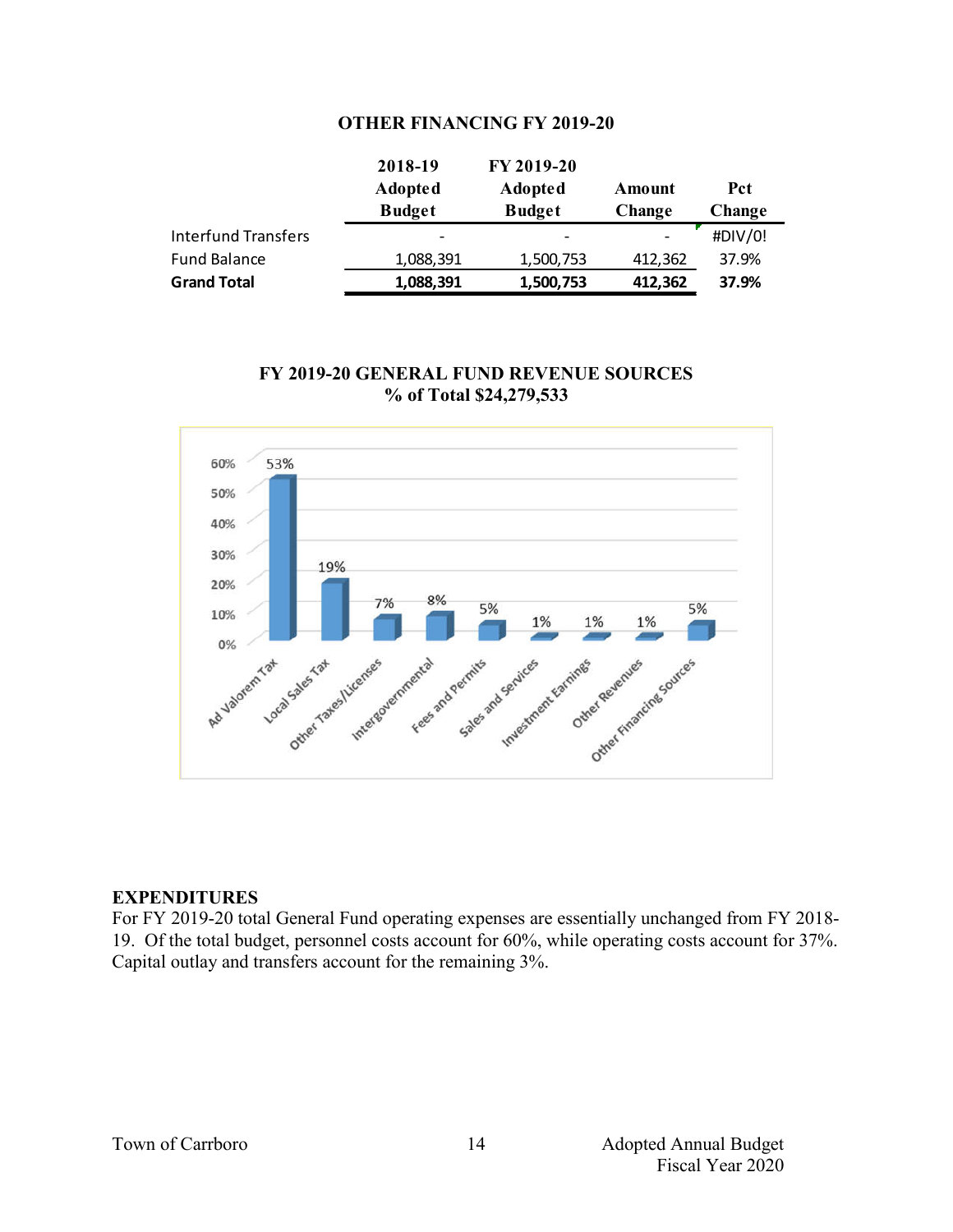### **OTHER FINANCING FY 2019-20**

|                     | 2018-19                  | FY 2019-20               |         |         |
|---------------------|--------------------------|--------------------------|---------|---------|
|                     | <b>Adopted</b>           | <b>Adopted</b>           | Amount  | Pct     |
|                     | <b>Budget</b>            | <b>Budget</b>            | Change  | Change  |
| Interfund Transfers | $\overline{\phantom{0}}$ | $\overline{\phantom{0}}$ |         | #DIV/0! |
| Fund Balance        | 1,088,391                | 1,500,753                | 412,362 | 37.9%   |
| <b>Grand Total</b>  | 1,088,391                | 1,500,753                | 412,362 | 37.9%   |

### **FY 2019-20 GENERAL FUND REVENUE SOURCES % of Total \$24,279,533**



### **EXPENDITURES**

For FY 2019-20 total General Fund operating expenses are essentially unchanged from FY 2018- 19. Of the total budget, personnel costs account for 60%, while operating costs account for 37%. Capital outlay and transfers account for the remaining 3%.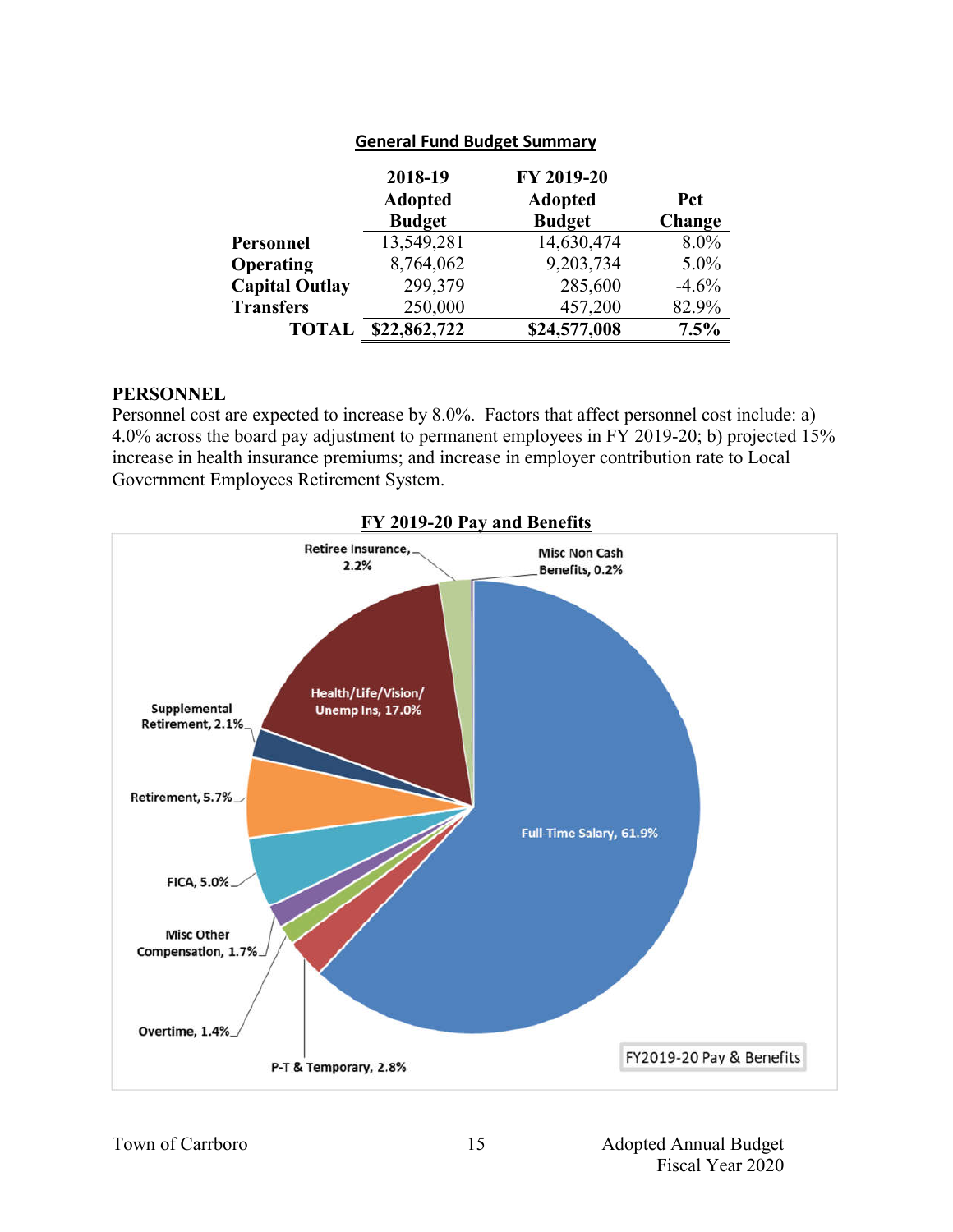|                       | 2018-19<br><b>Adopted</b><br><b>Budget</b> | FY 2019-20<br><b>Adopted</b><br><b>Budget</b> | <b>Pct</b><br>Change |
|-----------------------|--------------------------------------------|-----------------------------------------------|----------------------|
| Personnel             | 13,549,281                                 | 14,630,474                                    | $8.0\%$              |
| Operating             | 8,764,062                                  | 9,203,734                                     | $5.0\%$              |
| <b>Capital Outlay</b> | 299,379                                    | 285,600                                       | $-4.6%$              |
| <b>Transfers</b>      | 250,000                                    | 457,200                                       | 82.9%                |
| <b>TOTAI</b>          | \$22,862,722                               | \$24,577,008                                  | 7.5%                 |

### **General Fund Budget Summary**

#### **PERSONNEL**

Personnel cost are expected to increase by 8.0%. Factors that affect personnel cost include: a) 4.0% across the board pay adjustment to permanent employees in FY 2019-20; b) projected 15% increase in health insurance premiums; and increase in employer contribution rate to Local Government Employees Retirement System.

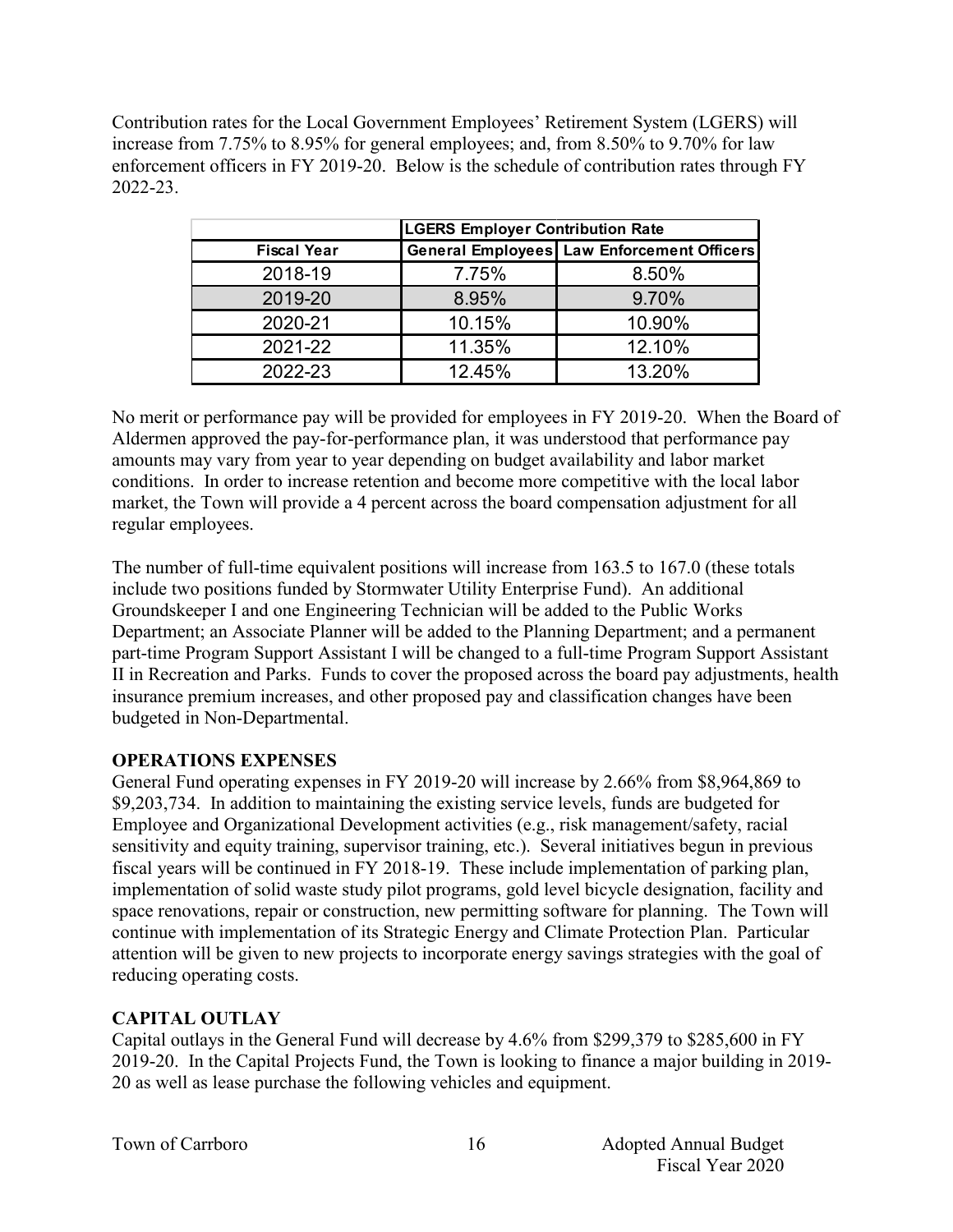Contribution rates for the Local Government Employees' Retirement System (LGERS) will increase from 7.75% to 8.95% for general employees; and, from 8.50% to 9.70% for law enforcement officers in FY 2019-20. Below is the schedule of contribution rates through FY 2022-23.

|                    | <b>LGERS Employer Contribution Rate</b> |                                                   |  |  |  |  |  |
|--------------------|-----------------------------------------|---------------------------------------------------|--|--|--|--|--|
| <b>Fiscal Year</b> |                                         | <b>General Employees Law Enforcement Officers</b> |  |  |  |  |  |
| 2018-19            | 7.75%                                   | 8.50%                                             |  |  |  |  |  |
| 2019-20            | 8.95%                                   | 9.70%                                             |  |  |  |  |  |
| 2020-21            | 10.15%                                  | 10.90%                                            |  |  |  |  |  |
| 2021-22            | 11.35%                                  | 12.10%                                            |  |  |  |  |  |
| 2022-23            | 12.45%                                  | 13.20%                                            |  |  |  |  |  |

No merit or performance pay will be provided for employees in FY 2019-20. When the Board of Aldermen approved the pay-for-performance plan, it was understood that performance pay amounts may vary from year to year depending on budget availability and labor market conditions. In order to increase retention and become more competitive with the local labor market, the Town will provide a 4 percent across the board compensation adjustment for all regular employees.

The number of full-time equivalent positions will increase from 163.5 to 167.0 (these totals include two positions funded by Stormwater Utility Enterprise Fund). An additional Groundskeeper I and one Engineering Technician will be added to the Public Works Department; an Associate Planner will be added to the Planning Department; and a permanent part-time Program Support Assistant I will be changed to a full-time Program Support Assistant II in Recreation and Parks. Funds to cover the proposed across the board pay adjustments, health insurance premium increases, and other proposed pay and classification changes have been budgeted in Non-Departmental.

### **OPERATIONS EXPENSES**

General Fund operating expenses in FY 2019-20 will increase by 2.66% from \$8,964,869 to \$9,203,734. In addition to maintaining the existing service levels, funds are budgeted for Employee and Organizational Development activities (e.g., risk management/safety, racial sensitivity and equity training, supervisor training, etc.). Several initiatives begun in previous fiscal years will be continued in FY 2018-19. These include implementation of parking plan, implementation of solid waste study pilot programs, gold level bicycle designation, facility and space renovations, repair or construction, new permitting software for planning. The Town will continue with implementation of its Strategic Energy and Climate Protection Plan. Particular attention will be given to new projects to incorporate energy savings strategies with the goal of reducing operating costs.

# **CAPITAL OUTLAY**

Capital outlays in the General Fund will decrease by 4.6% from \$299,379 to \$285,600 in FY 2019-20. In the Capital Projects Fund, the Town is looking to finance a major building in 2019- 20 as well as lease purchase the following vehicles and equipment.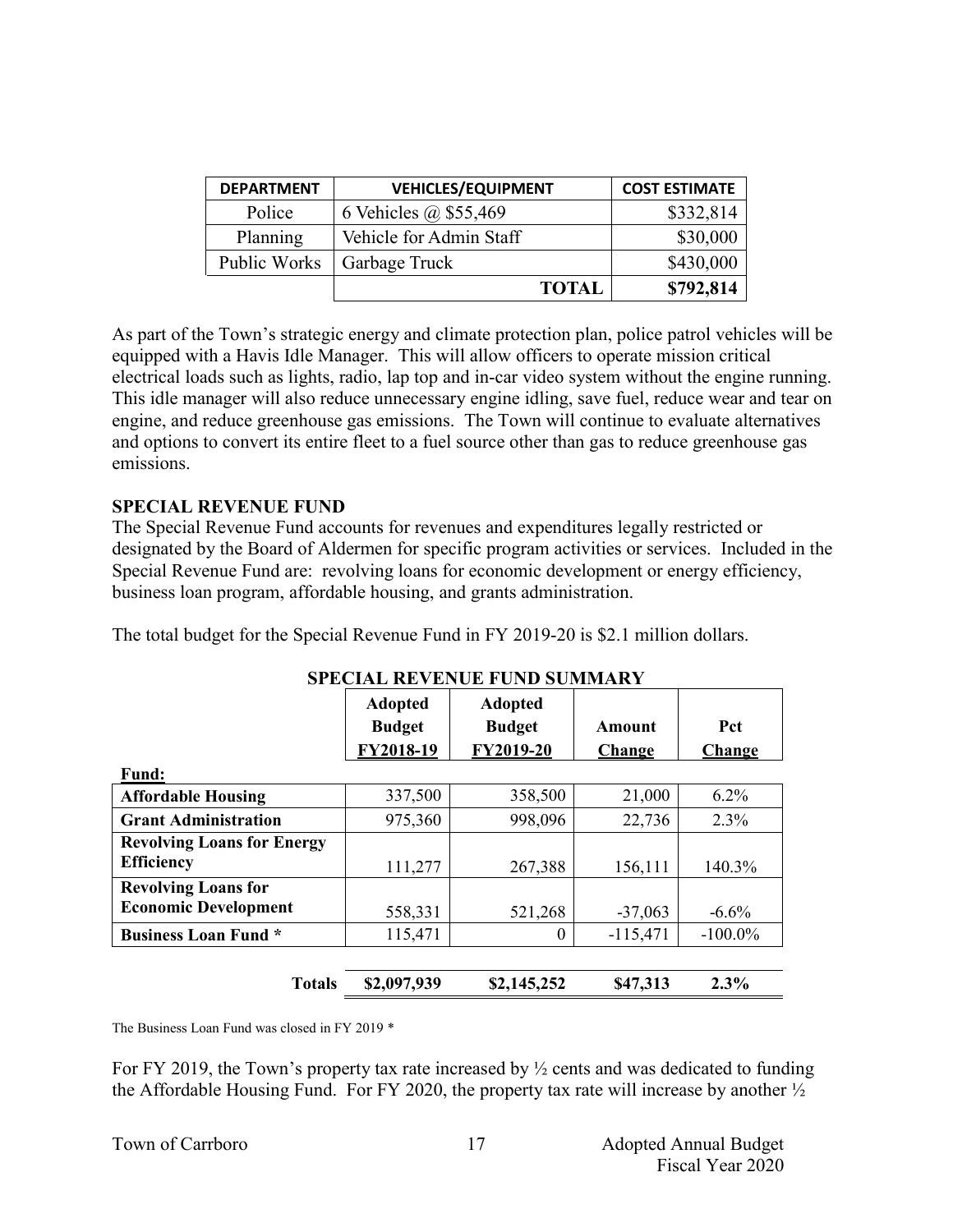| <b>DEPARTMENT</b> | <b>VEHICLES/EQUIPMENT</b> | <b>COST ESTIMATE</b> |
|-------------------|---------------------------|----------------------|
| Police            | 6 Vehicles @ \$55,469     | \$332,814            |
| Planning          | Vehicle for Admin Staff   | \$30,000             |
| Public Works      | Garbage Truck             | \$430,000            |
|                   | <b>TOTAL</b>              | \$792,814            |

As part of the Town's strategic energy and climate protection plan, police patrol vehicles will be equipped with a Havis Idle Manager. This will allow officers to operate mission critical electrical loads such as lights, radio, lap top and in-car video system without the engine running. This idle manager will also reduce unnecessary engine idling, save fuel, reduce wear and tear on engine, and reduce greenhouse gas emissions. The Town will continue to evaluate alternatives and options to convert its entire fleet to a fuel source other than gas to reduce greenhouse gas emissions.

### **SPECIAL REVENUE FUND**

The Special Revenue Fund accounts for revenues and expenditures legally restricted or designated by the Board of Aldermen for specific program activities or services. Included in the Special Revenue Fund are: revolving loans for economic development or energy efficiency, business loan program, affordable housing, and grants administration.

The total budget for the Special Revenue Fund in FY 2019-20 is \$2.1 million dollars.

|                                   |                | я всим нетвоего год всятим |            |            |
|-----------------------------------|----------------|----------------------------|------------|------------|
|                                   | <b>Adopted</b> | <b>Adopted</b>             |            |            |
|                                   | <b>Budget</b>  | <b>Budget</b>              | Amount     | Pct        |
|                                   | FY2018-19      | FY2019-20                  | Change     | Change     |
| <b>Fund:</b>                      |                |                            |            |            |
| <b>Affordable Housing</b>         | 337,500        | 358,500                    | 21,000     | $6.2\%$    |
| <b>Grant Administration</b>       | 975,360        | 998,096                    | 22,736     | $2.3\%$    |
| <b>Revolving Loans for Energy</b> |                |                            |            |            |
| <b>Efficiency</b>                 | 111,277        | 267,388                    | 156,111    | 140.3%     |
| <b>Revolving Loans for</b>        |                |                            |            |            |
| <b>Economic Development</b>       | 558,331        | 521,268                    | $-37,063$  | $-6.6\%$   |
| <b>Business Loan Fund *</b>       | 115,471        | $\theta$                   | $-115,471$ | $-100.0\%$ |
|                                   |                |                            |            |            |
| <b>Totals</b>                     | \$2,097,939    | \$2,145,252                | \$47,313   | $2.3\%$    |

### **SPECIAL REVENUE FUND SUMMARY**

The Business Loan Fund was closed in FY 2019 \*

For FY 2019, the Town's property tax rate increased by  $\frac{1}{2}$  cents and was dedicated to funding the Affordable Housing Fund. For FY 2020, the property tax rate will increase by another  $\frac{1}{2}$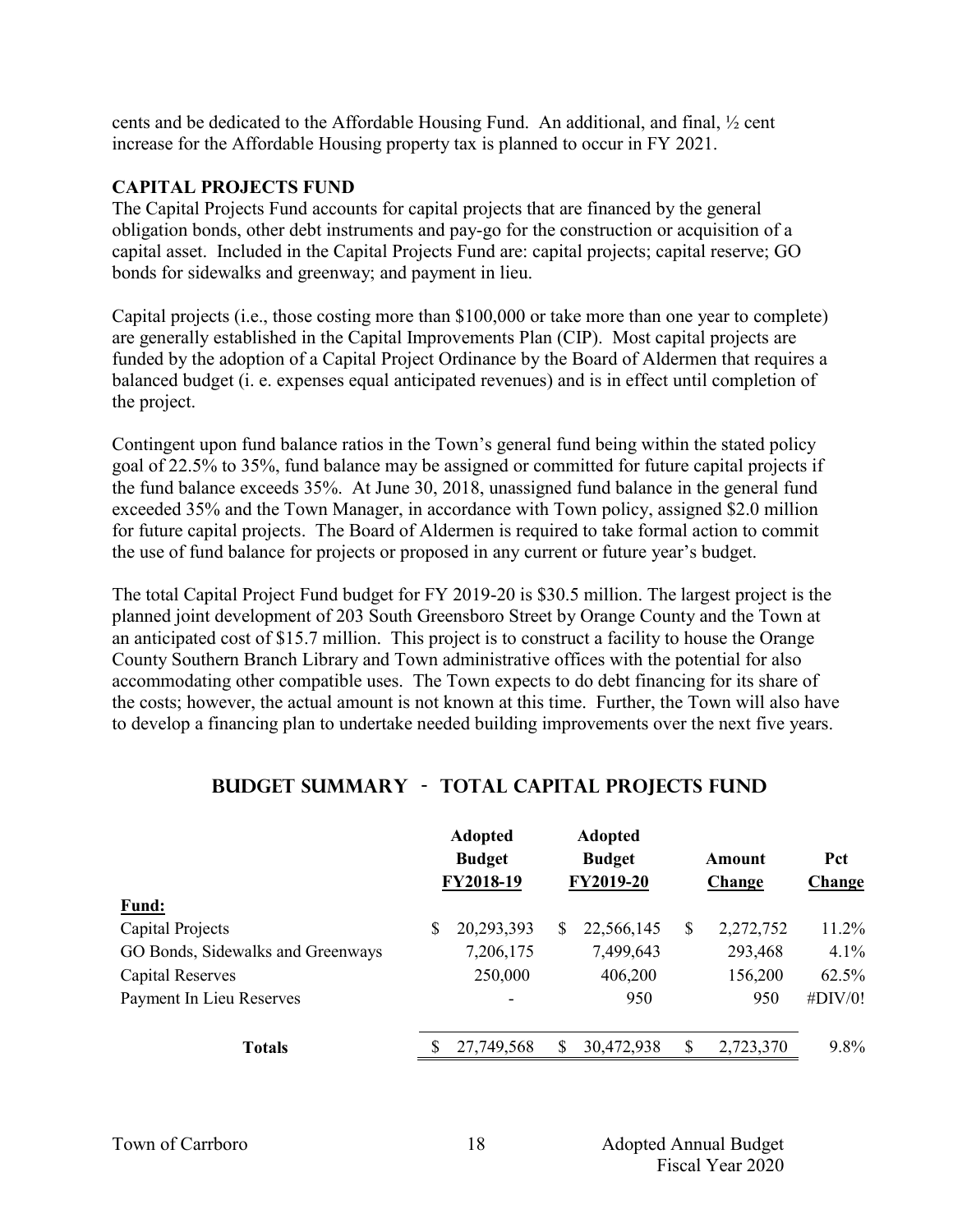cents and be dedicated to the Affordable Housing Fund. An additional, and final, ½ cent increase for the Affordable Housing property tax is planned to occur in FY 2021.

### **CAPITAL PROJECTS FUND**

The Capital Projects Fund accounts for capital projects that are financed by the general obligation bonds, other debt instruments and pay-go for the construction or acquisition of a capital asset. Included in the Capital Projects Fund are: capital projects; capital reserve; GO bonds for sidewalks and greenway; and payment in lieu.

Capital projects (i.e., those costing more than \$100,000 or take more than one year to complete) are generally established in the Capital Improvements Plan (CIP). Most capital projects are funded by the adoption of a Capital Project Ordinance by the Board of Aldermen that requires a balanced budget (i. e. expenses equal anticipated revenues) and is in effect until completion of the project.

Contingent upon fund balance ratios in the Town's general fund being within the stated policy goal of 22.5% to 35%, fund balance may be assigned or committed for future capital projects if the fund balance exceeds 35%. At June 30, 2018, unassigned fund balance in the general fund exceeded 35% and the Town Manager, in accordance with Town policy, assigned \$2.0 million for future capital projects. The Board of Aldermen is required to take formal action to commit the use of fund balance for projects or proposed in any current or future year's budget.

The total Capital Project Fund budget for FY 2019-20 is \$30.5 million. The largest project is the planned joint development of 203 South Greensboro Street by Orange County and the Town at an anticipated cost of \$15.7 million. This project is to construct a facility to house the Orange County Southern Branch Library and Town administrative offices with the potential for also accommodating other compatible uses. The Town expects to do debt financing for its share of the costs; however, the actual amount is not known at this time. Further, the Town will also have to develop a financing plan to undertake needed building improvements over the next five years.

|                                   | <b>Adopted</b><br><b>Budget</b><br>FY2018-19 |            | <b>Adopted</b><br><b>Budget</b><br>FY2019-20 |            | Amount<br>Change |           | Pct<br><b>Change</b> |  |
|-----------------------------------|----------------------------------------------|------------|----------------------------------------------|------------|------------------|-----------|----------------------|--|
| Fund:                             |                                              |            |                                              |            |                  |           |                      |  |
| Capital Projects                  | S                                            | 20,293,393 | \$                                           | 22,566,145 | \$               | 2,272,752 | 11.2%                |  |
| GO Bonds, Sidewalks and Greenways |                                              | 7,206,175  |                                              | 7,499,643  |                  | 293,468   | $4.1\%$              |  |
| <b>Capital Reserves</b>           |                                              | 250,000    |                                              | 406,200    |                  | 156,200   | 62.5%                |  |
| Payment In Lieu Reserves          |                                              | -          |                                              | 950        |                  | 950       | #DIV/0!              |  |
| <b>Totals</b>                     |                                              | 27,749,568 | \$                                           | 30,472,938 | S                | 2,723,370 | $9.8\%$              |  |

# **Budget Summary - Total CAPITAL PROJECTS FUND**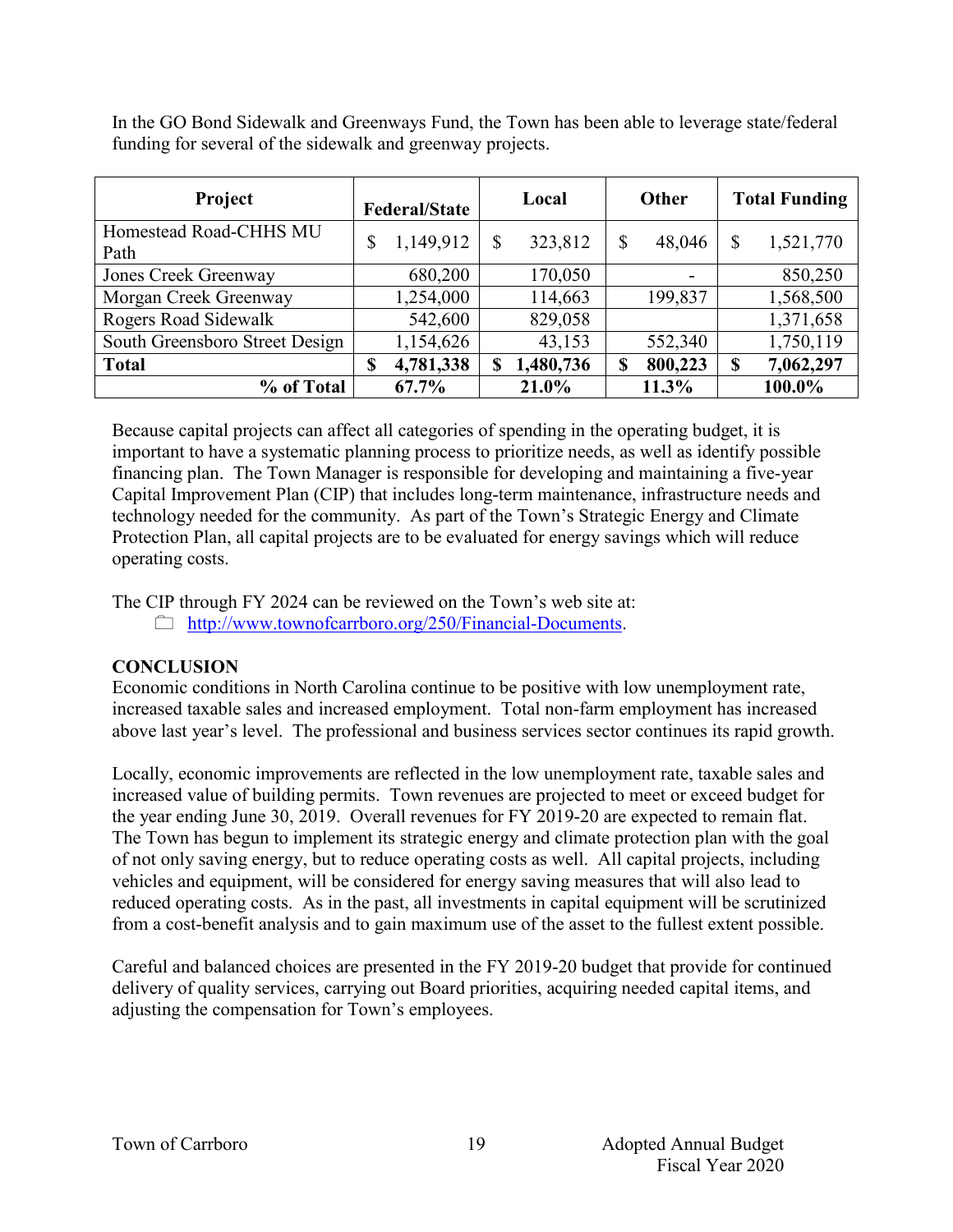In the GO Bond Sidewalk and Greenways Fund, the Town has been able to leverage state/federal funding for several of the sidewalk and greenway projects.

| Project                        |    | <b>Federal/State</b> | Local |           | Other |         | <b>Total Funding</b> |           |  |
|--------------------------------|----|----------------------|-------|-----------|-------|---------|----------------------|-----------|--|
| Homestead Road-CHHS MU         | \$ | 1,149,912            |       | 323,812   | \$    | 48,046  | \$                   | 1,521,770 |  |
| Path                           |    |                      |       |           |       |         |                      |           |  |
| Jones Creek Greenway           |    | 680,200              |       | 170,050   |       | -       |                      | 850,250   |  |
| Morgan Creek Greenway          |    | 1,254,000            |       | 114,663   |       | 199,837 |                      | 1,568,500 |  |
| <b>Rogers Road Sidewalk</b>    |    | 542,600              |       | 829,058   |       |         |                      | 1,371,658 |  |
| South Greensboro Street Design |    | 1,154,626            |       | 43,153    |       | 552,340 |                      | 1,750,119 |  |
| <b>Total</b>                   | \$ | 4,781,338            | S     | 1,480,736 | S     | 800,223 | <sup>\$</sup>        | 7,062,297 |  |
| % of Total                     |    | $67.7\%$             |       | 21.0%     |       | 11.3%   |                      | 100.0%    |  |

Because capital projects can affect all categories of spending in the operating budget, it is important to have a systematic planning process to prioritize needs, as well as identify possible financing plan. The Town Manager is responsible for developing and maintaining a five-year Capital Improvement Plan (CIP) that includes long-term maintenance, infrastructure needs and technology needed for the community. As part of the Town's Strategic Energy and Climate Protection Plan, all capital projects are to be evaluated for energy savings which will reduce operating costs.

The CIP through FY 2024 can be reviewed on the Town's web site at:

http://www.townofcarrboro.org/250/Financial-Documents.

# **CONCLUSION**

Economic conditions in North Carolina continue to be positive with low unemployment rate, increased taxable sales and increased employment. Total non-farm employment has increased above last year's level. The professional and business services sector continues its rapid growth.

Locally, economic improvements are reflected in the low unemployment rate, taxable sales and increased value of building permits. Town revenues are projected to meet or exceed budget for the year ending June 30, 2019. Overall revenues for FY 2019-20 are expected to remain flat. The Town has begun to implement its strategic energy and climate protection plan with the goal of not only saving energy, but to reduce operating costs as well. All capital projects, including vehicles and equipment, will be considered for energy saving measures that will also lead to reduced operating costs. As in the past, all investments in capital equipment will be scrutinized from a cost-benefit analysis and to gain maximum use of the asset to the fullest extent possible.

Careful and balanced choices are presented in the FY 2019-20 budget that provide for continued delivery of quality services, carrying out Board priorities, acquiring needed capital items, and adjusting the compensation for Town's employees.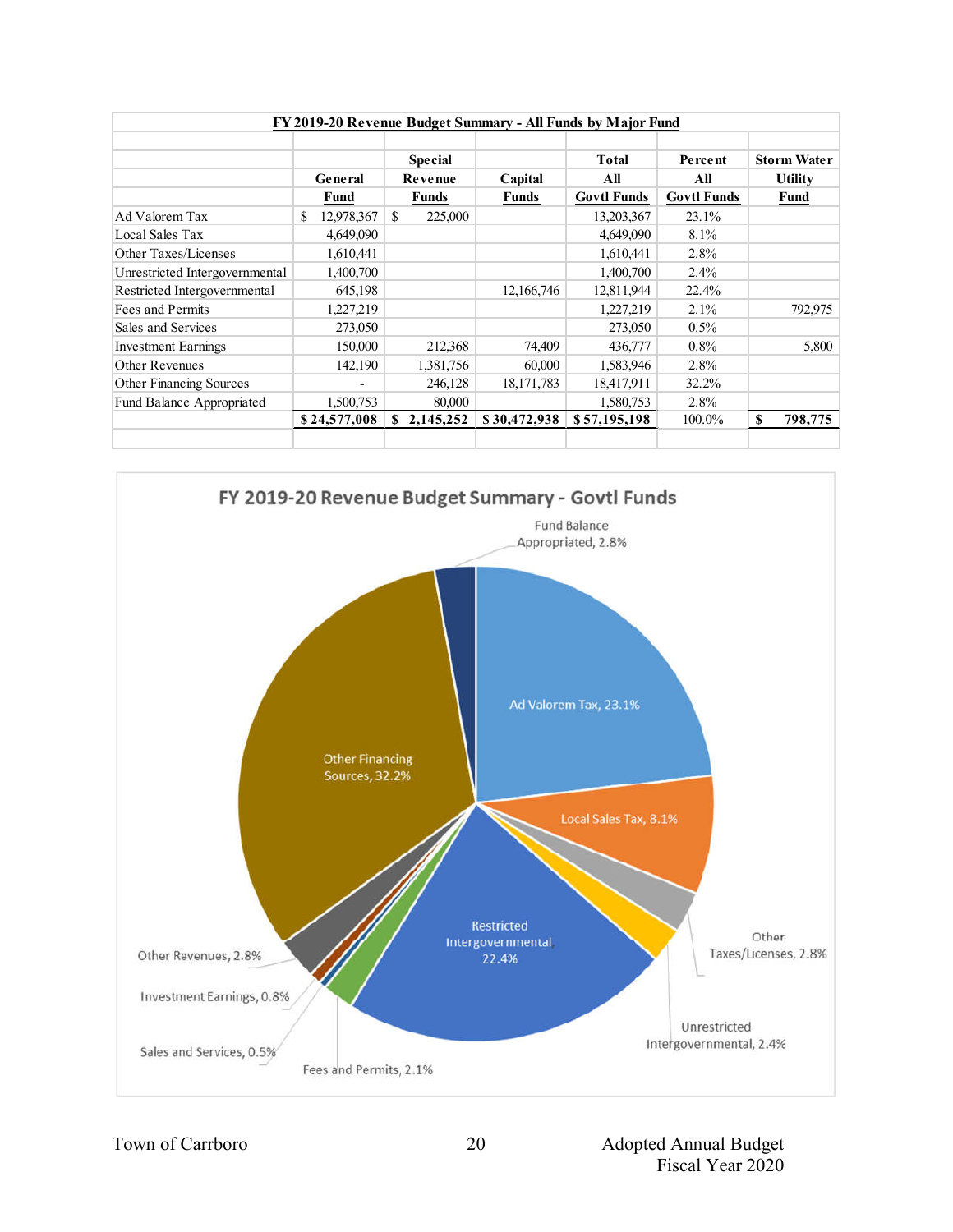| FY 2019-20 Revenue Budget Summary - All Funds by Major Fund |                 |                 |              |                    |                    |                    |  |  |
|-------------------------------------------------------------|-----------------|-----------------|--------------|--------------------|--------------------|--------------------|--|--|
|                                                             |                 |                 |              |                    |                    |                    |  |  |
|                                                             |                 | <b>Special</b>  |              | <b>Total</b>       | Percent            | <b>Storm Water</b> |  |  |
|                                                             | General         | Revenue         | Capital      | All                | All                | <b>Utility</b>     |  |  |
|                                                             | Fund            | Funds           | <b>Funds</b> | <b>Govtl Funds</b> | <b>Govtl Funds</b> | Fund               |  |  |
| Ad Valorem Tax                                              | 12,978,367<br>S | \$<br>225,000   |              | 13,203,367         | 23.1%              |                    |  |  |
| Local Sales Tax                                             | 4,649,090       |                 |              | 4,649,090          | 8.1%               |                    |  |  |
| Other Taxes/Licenses                                        | 1,610,441       |                 |              | 1,610,441          | 2.8%               |                    |  |  |
| Unrestricted Intergovernmental                              | 1,400,700       |                 |              | 1,400,700          | 2.4%               |                    |  |  |
| Restricted Intergovernmental                                | 645,198         |                 | 12,166,746   | 12,811,944         | 22.4%              |                    |  |  |
| Fees and Permits                                            | 1,227,219       |                 |              | 1,227,219          | 2.1%               | 792,975            |  |  |
| Sales and Services                                          | 273,050         |                 |              | 273,050            | $0.5\%$            |                    |  |  |
| <b>Investment Earnings</b>                                  | 150,000         | 212,368         | 74,409       | 436,777            | $0.8\%$            | 5,800              |  |  |
| Other Revenues                                              | 142,190         | 1,381,756       | 60,000       | 1,583,946          | 2.8%               |                    |  |  |
| Other Financing Sources                                     |                 | 246,128         | 18, 171, 783 | 18,417,911         | 32.2%              |                    |  |  |
| Fund Balance Appropriated                                   | 1,500,753       | 80,000          |              | 1,580,753          | 2.8%               |                    |  |  |
|                                                             | \$24,577,008    | 2,145,252<br>S. | \$30,472,938 | \$57,195,198       | 100.0%             | \$<br>798,775      |  |  |
|                                                             |                 |                 |              |                    |                    |                    |  |  |

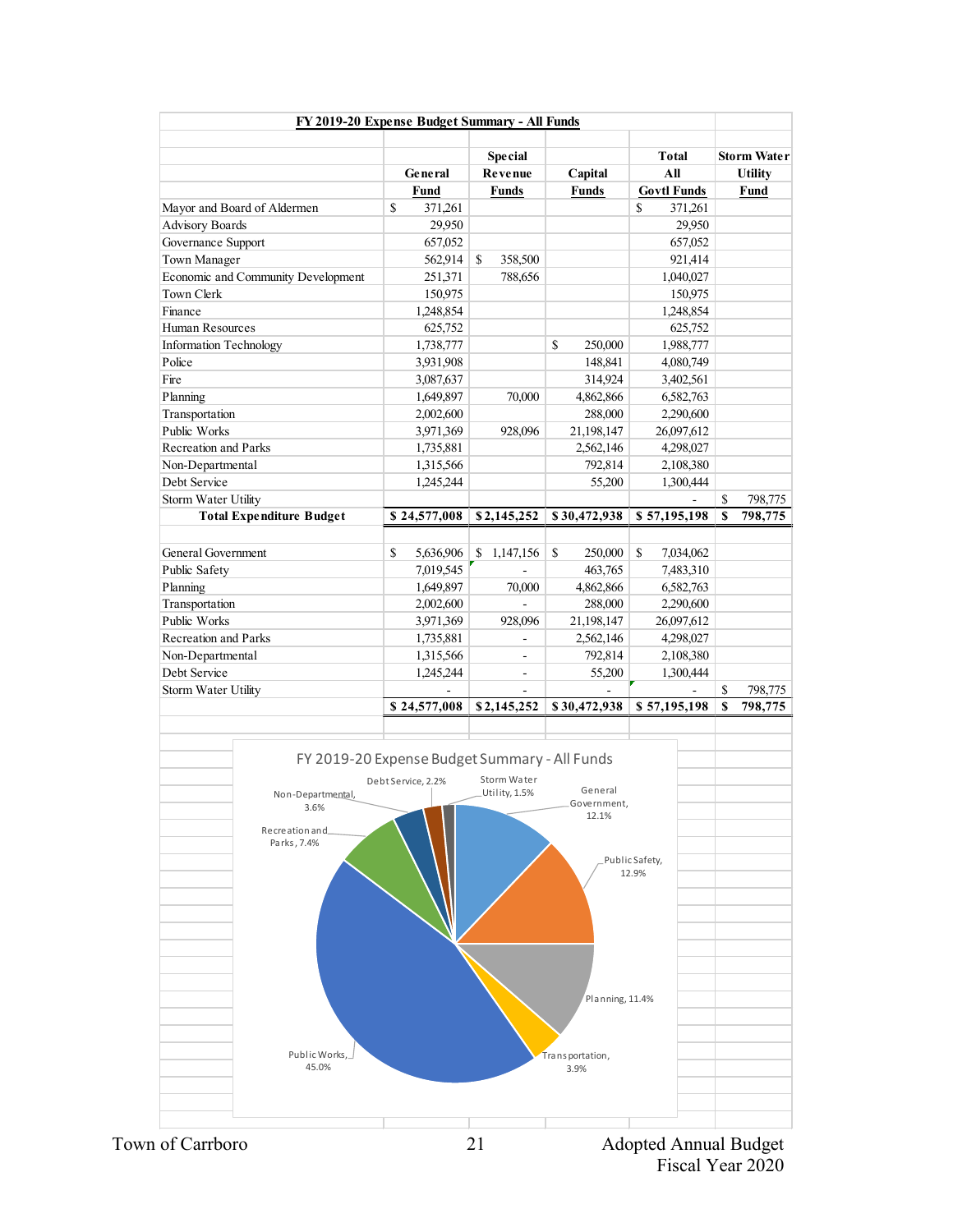|                                                            | General                                                                                                                                                                                                                                                 | <b>Special</b><br>Revenue                                                                                                                                                                                                                              |                                                                                                                  | <b>Total</b>                                                                                                                                                                                                                           |                                                                                                                                                                                                                                                                                 | <b>Storm Water</b>           |
|------------------------------------------------------------|---------------------------------------------------------------------------------------------------------------------------------------------------------------------------------------------------------------------------------------------------------|--------------------------------------------------------------------------------------------------------------------------------------------------------------------------------------------------------------------------------------------------------|------------------------------------------------------------------------------------------------------------------|----------------------------------------------------------------------------------------------------------------------------------------------------------------------------------------------------------------------------------------|---------------------------------------------------------------------------------------------------------------------------------------------------------------------------------------------------------------------------------------------------------------------------------|------------------------------|
|                                                            |                                                                                                                                                                                                                                                         |                                                                                                                                                                                                                                                        |                                                                                                                  |                                                                                                                                                                                                                                        |                                                                                                                                                                                                                                                                                 |                              |
|                                                            |                                                                                                                                                                                                                                                         |                                                                                                                                                                                                                                                        |                                                                                                                  | All                                                                                                                                                                                                                                    |                                                                                                                                                                                                                                                                                 | <b>Utility</b>               |
|                                                            | Fund                                                                                                                                                                                                                                                    | <b>Funds</b>                                                                                                                                                                                                                                           | Capital<br><b>Funds</b>                                                                                          | <b>Govtl Funds</b>                                                                                                                                                                                                                     |                                                                                                                                                                                                                                                                                 | <b>Fund</b>                  |
| Mayor and Board of Aldermen                                | \$<br>371,261                                                                                                                                                                                                                                           |                                                                                                                                                                                                                                                        |                                                                                                                  | S<br>371,261                                                                                                                                                                                                                           |                                                                                                                                                                                                                                                                                 |                              |
|                                                            |                                                                                                                                                                                                                                                         |                                                                                                                                                                                                                                                        |                                                                                                                  |                                                                                                                                                                                                                                        |                                                                                                                                                                                                                                                                                 |                              |
|                                                            |                                                                                                                                                                                                                                                         |                                                                                                                                                                                                                                                        |                                                                                                                  |                                                                                                                                                                                                                                        |                                                                                                                                                                                                                                                                                 |                              |
| Town Manager                                               | 562,914                                                                                                                                                                                                                                                 | \$                                                                                                                                                                                                                                                     |                                                                                                                  | 921,414                                                                                                                                                                                                                                |                                                                                                                                                                                                                                                                                 |                              |
| Economic and Community Development                         | 251,371                                                                                                                                                                                                                                                 | 788,656                                                                                                                                                                                                                                                |                                                                                                                  | 1,040,027                                                                                                                                                                                                                              |                                                                                                                                                                                                                                                                                 |                              |
|                                                            | 150,975                                                                                                                                                                                                                                                 |                                                                                                                                                                                                                                                        |                                                                                                                  | 150,975                                                                                                                                                                                                                                |                                                                                                                                                                                                                                                                                 |                              |
|                                                            | 1,248,854                                                                                                                                                                                                                                               |                                                                                                                                                                                                                                                        |                                                                                                                  | 1,248,854                                                                                                                                                                                                                              |                                                                                                                                                                                                                                                                                 |                              |
| Human Resources                                            | 625,752                                                                                                                                                                                                                                                 |                                                                                                                                                                                                                                                        |                                                                                                                  | 625,752                                                                                                                                                                                                                                |                                                                                                                                                                                                                                                                                 |                              |
| <b>Information Technology</b>                              | 1,738,777                                                                                                                                                                                                                                               |                                                                                                                                                                                                                                                        | \$<br>250,000                                                                                                    | 1,988,777                                                                                                                                                                                                                              |                                                                                                                                                                                                                                                                                 |                              |
|                                                            | 3,931,908                                                                                                                                                                                                                                               |                                                                                                                                                                                                                                                        | 148,841                                                                                                          | 4,080,749                                                                                                                                                                                                                              |                                                                                                                                                                                                                                                                                 |                              |
|                                                            | 3,087,637                                                                                                                                                                                                                                               |                                                                                                                                                                                                                                                        | 314,924                                                                                                          | 3,402,561                                                                                                                                                                                                                              |                                                                                                                                                                                                                                                                                 |                              |
|                                                            | 1,649,897                                                                                                                                                                                                                                               | 70,000                                                                                                                                                                                                                                                 | 4,862,866                                                                                                        | 6,582,763                                                                                                                                                                                                                              |                                                                                                                                                                                                                                                                                 |                              |
| Transportation                                             |                                                                                                                                                                                                                                                         |                                                                                                                                                                                                                                                        |                                                                                                                  |                                                                                                                                                                                                                                        |                                                                                                                                                                                                                                                                                 |                              |
|                                                            |                                                                                                                                                                                                                                                         |                                                                                                                                                                                                                                                        |                                                                                                                  |                                                                                                                                                                                                                                        |                                                                                                                                                                                                                                                                                 |                              |
|                                                            |                                                                                                                                                                                                                                                         |                                                                                                                                                                                                                                                        |                                                                                                                  |                                                                                                                                                                                                                                        |                                                                                                                                                                                                                                                                                 |                              |
| Non-Departmental                                           |                                                                                                                                                                                                                                                         |                                                                                                                                                                                                                                                        | 792,814                                                                                                          |                                                                                                                                                                                                                                        |                                                                                                                                                                                                                                                                                 |                              |
|                                                            |                                                                                                                                                                                                                                                         |                                                                                                                                                                                                                                                        | 55,200                                                                                                           |                                                                                                                                                                                                                                        |                                                                                                                                                                                                                                                                                 |                              |
|                                                            |                                                                                                                                                                                                                                                         |                                                                                                                                                                                                                                                        |                                                                                                                  |                                                                                                                                                                                                                                        |                                                                                                                                                                                                                                                                                 | 798,775                      |
|                                                            |                                                                                                                                                                                                                                                         |                                                                                                                                                                                                                                                        |                                                                                                                  |                                                                                                                                                                                                                                        |                                                                                                                                                                                                                                                                                 | 798,775                      |
|                                                            |                                                                                                                                                                                                                                                         |                                                                                                                                                                                                                                                        |                                                                                                                  |                                                                                                                                                                                                                                        |                                                                                                                                                                                                                                                                                 |                              |
|                                                            |                                                                                                                                                                                                                                                         |                                                                                                                                                                                                                                                        |                                                                                                                  |                                                                                                                                                                                                                                        |                                                                                                                                                                                                                                                                                 |                              |
|                                                            |                                                                                                                                                                                                                                                         |                                                                                                                                                                                                                                                        |                                                                                                                  |                                                                                                                                                                                                                                        |                                                                                                                                                                                                                                                                                 |                              |
|                                                            |                                                                                                                                                                                                                                                         |                                                                                                                                                                                                                                                        |                                                                                                                  |                                                                                                                                                                                                                                        |                                                                                                                                                                                                                                                                                 |                              |
|                                                            |                                                                                                                                                                                                                                                         |                                                                                                                                                                                                                                                        |                                                                                                                  |                                                                                                                                                                                                                                        |                                                                                                                                                                                                                                                                                 |                              |
|                                                            |                                                                                                                                                                                                                                                         |                                                                                                                                                                                                                                                        |                                                                                                                  |                                                                                                                                                                                                                                        |                                                                                                                                                                                                                                                                                 |                              |
|                                                            |                                                                                                                                                                                                                                                         |                                                                                                                                                                                                                                                        |                                                                                                                  |                                                                                                                                                                                                                                        |                                                                                                                                                                                                                                                                                 |                              |
|                                                            |                                                                                                                                                                                                                                                         |                                                                                                                                                                                                                                                        |                                                                                                                  |                                                                                                                                                                                                                                        |                                                                                                                                                                                                                                                                                 |                              |
|                                                            |                                                                                                                                                                                                                                                         |                                                                                                                                                                                                                                                        |                                                                                                                  |                                                                                                                                                                                                                                        |                                                                                                                                                                                                                                                                                 | 798,775                      |
|                                                            |                                                                                                                                                                                                                                                         |                                                                                                                                                                                                                                                        |                                                                                                                  |                                                                                                                                                                                                                                        |                                                                                                                                                                                                                                                                                 | 798,775                      |
|                                                            |                                                                                                                                                                                                                                                         |                                                                                                                                                                                                                                                        |                                                                                                                  |                                                                                                                                                                                                                                        |                                                                                                                                                                                                                                                                                 |                              |
| Non-Departmental,<br>3.6%<br>Recreation and<br>Parks, 7.4% |                                                                                                                                                                                                                                                         | Storm Water<br>Utility, 1.5%                                                                                                                                                                                                                           | General<br>12.1%                                                                                                 |                                                                                                                                                                                                                                        |                                                                                                                                                                                                                                                                                 |                              |
|                                                            | <b>Advisory Boards</b><br>Governance Support<br><b>Recreation and Parks</b><br>Storm Water Utility<br><b>Total Expenditure Budget</b><br><b>General Government</b><br>Transportation<br>Recreation and Parks<br>Non-Departmental<br>Storm Water Utility | 29,950<br>657,052<br>2,002,600<br>3,971,369<br>1,735,881<br>1,315,566<br>1,245,244<br>\$24,577,008<br>\$<br>5,636,906<br>7,019,545<br>1,649,897<br>2,002,600<br>3,971,369<br>1,735,881<br>1,315,566<br>1,245,244<br>\$24,577,008<br>Debt Service, 2.2% | 358,500<br>928,096<br>\$2,145,252<br>1,147,156<br>\$<br>70,000<br>928,096<br>L.<br>$\blacksquare$<br>\$2,145,252 | 288,000<br>21,198,147<br>2,562,146<br>\$30,472,938<br>\$<br>250,000<br>463,765<br>4,862,866<br>288,000<br>21,198,147<br>2,562,146<br>792,814<br>55,200<br>\$30,472,938<br>FY 2019-20 Expense Budget Summary - All Funds<br>Government, | 29,950<br>657,052<br>2,290,600<br>26,097,612<br>4,298,027<br>2,108,380<br>1,300,444<br>\$57,195,198<br>S<br>7,034,062<br>7,483,310<br>6,582,763<br>2,290,600<br>26,097,612<br>4,298,027<br>2,108,380<br>1,300,444<br>\$57,195,198<br>Public Safety,<br>12.9%<br>Planning, 11.4% | \$<br>S<br>\$<br>$\mathbf S$ |

Town of Carrboro **Adopted Annual Budget** 21 Adopted Annual Budget Fiscal Year 2020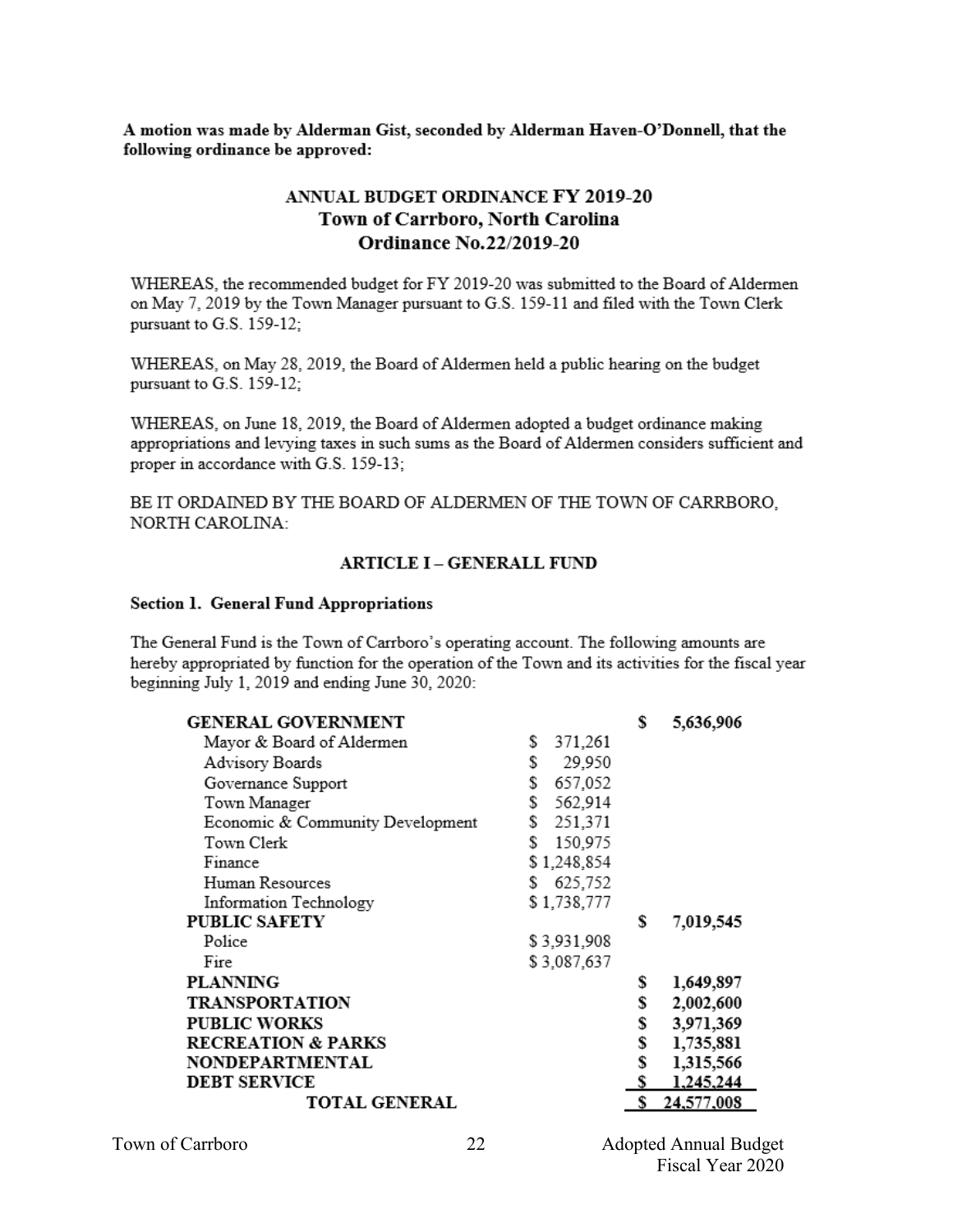A motion was made by Alderman Gist, seconded by Alderman Haven-O'Donnell, that the following ordinance be approved:

### ANNUAL BUDGET ORDINANCE FY 2019-20 Town of Carrboro, North Carolina **Ordinance No.22/2019-20**

WHEREAS, the recommended budget for FY 2019-20 was submitted to the Board of Aldermen on May 7, 2019 by the Town Manager pursuant to G.S. 159-11 and filed with the Town Clerk pursuant to G.S. 159-12;

WHEREAS, on May 28, 2019, the Board of Aldermen held a public hearing on the budget pursuant to G.S. 159-12;

WHEREAS, on June 18, 2019, the Board of Aldermen adopted a budget ordinance making appropriations and levying taxes in such sums as the Board of Aldermen considers sufficient and proper in accordance with G.S. 159-13:

BE IT ORDAINED BY THE BOARD OF ALDERMEN OF THE TOWN OF CARRBORO. NORTH CAROLINA:

#### **ARTICLE I - GENERALL FUND**

#### **Section 1. General Fund Appropriations**

The General Fund is the Town of Carrboro's operating account. The following amounts are hereby appropriated by function for the operation of the Town and its activities for the fiscal year beginning July 1, 2019 and ending June 30, 2020:

| <b>GENERAL GOVERNMENT</b>        |               | \$ | 5,636,906  |
|----------------------------------|---------------|----|------------|
| Mayor & Board of Aldermen        | S<br>371,261  |    |            |
| Advisory Boards                  | 29,950<br>S   |    |            |
| Governance Support               | 657,052<br>\$ |    |            |
| Town Manager                     | 562,914<br>S  |    |            |
| Economic & Community Development | s<br>251,371  |    |            |
| Town Clerk                       | 150,975<br>S  |    |            |
| Finance                          | \$1,248,854   |    |            |
| Human Resources                  | 625,752<br>s  |    |            |
| Information Technology           | \$1,738,777   |    |            |
| <b>PUBLIC SAFETY</b>             |               | \$ | 7,019,545  |
| Police                           | \$3,931,908   |    |            |
| Fire                             | \$3,087,637   |    |            |
| <b>PLANNING</b>                  |               | \$ | 1,649,897  |
| <b>TRANSPORTATION</b>            |               | \$ | 2,002,600  |
| <b>PUBLIC WORKS</b>              |               | \$ | 3,971,369  |
| <b>RECREATION &amp; PARKS</b>    |               | \$ | 1,735,881  |
| NONDEPARTMENTAL                  |               | \$ | 1,315,566  |
| <b>DEBT SERVICE</b>              |               | s  | 1,245,244  |
| <b>TOTAL GENERAL</b>             |               | \$ | 24,577,008 |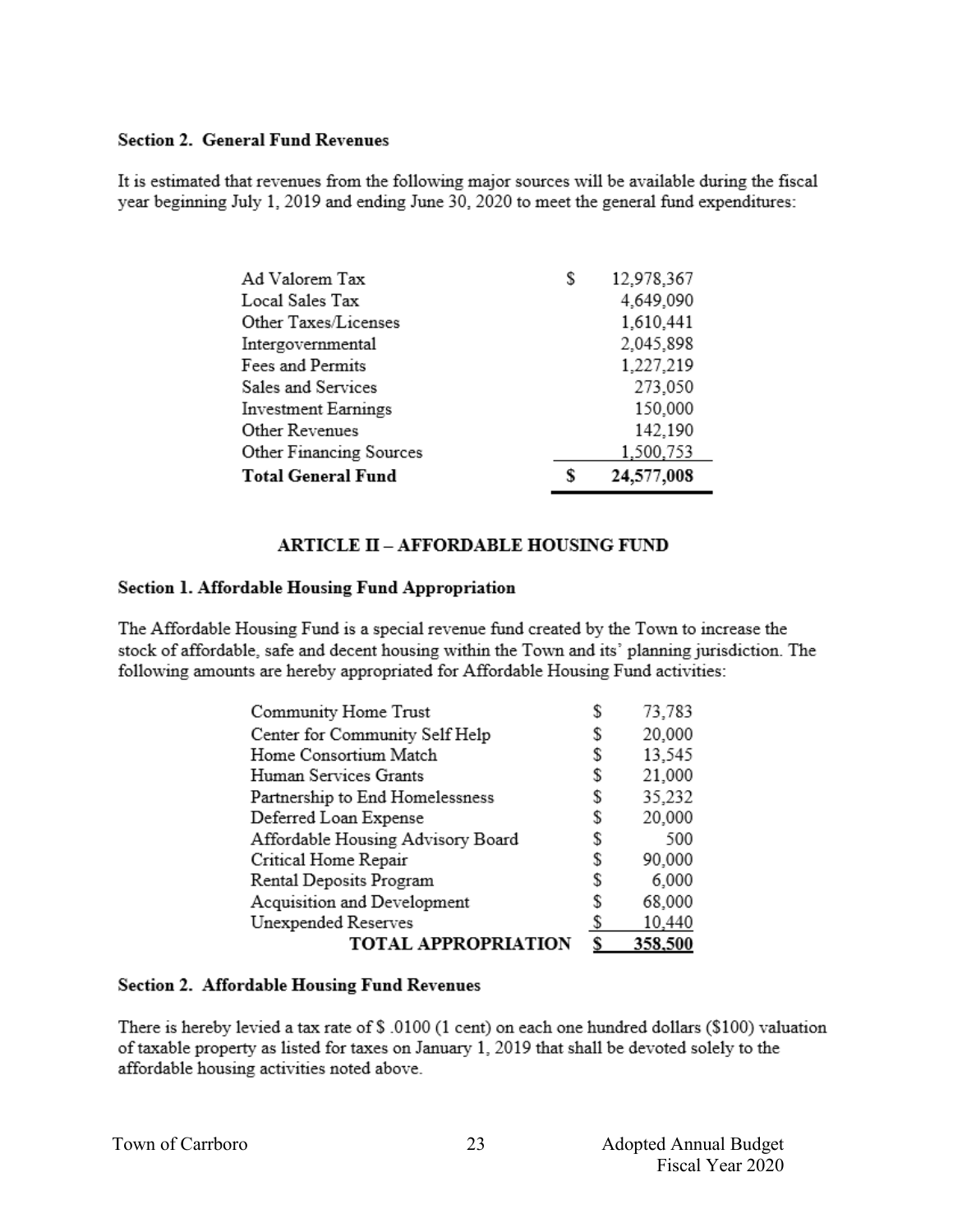### **Section 2. General Fund Revenues**

It is estimated that revenues from the following major sources will be available during the fiscal year beginning July 1, 2019 and ending June 30, 2020 to meet the general fund expenditures:

| Ad Valorem Tax             | \$ | 12,978,367 |
|----------------------------|----|------------|
| Local Sales Tax            |    | 4,649,090  |
| Other Taxes/Licenses       |    | 1,610,441  |
| Intergovernmental          |    | 2,045,898  |
| Fees and Permits           |    | 1,227,219  |
| Sales and Services         |    | 273,050    |
| <b>Investment Earnings</b> |    | 150,000    |
| Other Revenues             |    | 142,190    |
| Other Financing Sources    |    | 1,500,753  |
| <b>Total General Fund</b>  | S  | 24,577,008 |

### **ARTICLE II - AFFORDABLE HOUSING FUND**

### Section 1. Affordable Housing Fund Appropriation

The Affordable Housing Fund is a special revenue fund created by the Town to increase the stock of affordable, safe and decent housing within the Town and its' planning jurisdiction. The following amounts are hereby appropriated for Affordable Housing Fund activities:

| Community Home Trust              | S  | 73,783  |
|-----------------------------------|----|---------|
| Center for Community Self Help    | S  | 20,000  |
| Home Consortium Match             | S  | 13,545  |
| Human Services Grants             | \$ | 21,000  |
| Partnership to End Homelessness   | \$ | 35,232  |
| Deferred Loan Expense             | \$ | 20,000  |
| Affordable Housing Advisory Board | S  | 500     |
| Critical Home Repair              | S  | 90,000  |
| Rental Deposits Program           | S  | 6,000   |
| Acquisition and Development       | S  | 68,000  |
| Unexpended Reserves               | S  | 10,440  |
| <b>TOTAL APPROPRIATION</b>        |    | 358,500 |

#### Section 2. Affordable Housing Fund Revenues

There is hereby levied a tax rate of \$ .0100 (1 cent) on each one hundred dollars (\$100) valuation of taxable property as listed for taxes on January 1, 2019 that shall be devoted solely to the affordable housing activities noted above.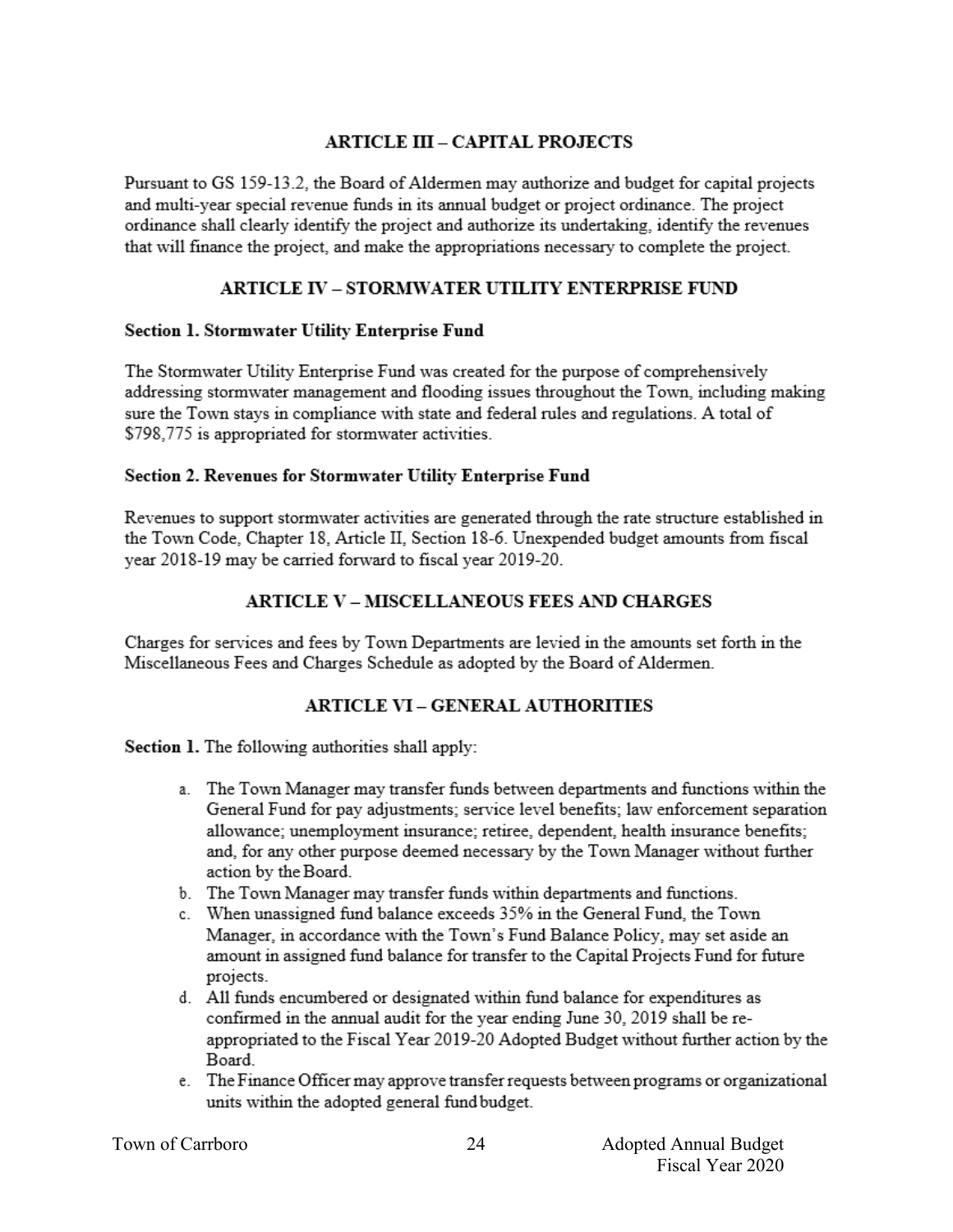### **ARTICLE III - CAPITAL PROJECTS**

Pursuant to GS 159-13.2, the Board of Aldermen may authorize and budget for capital projects and multi-year special revenue funds in its annual budget or project ordinance. The project ordinance shall clearly identify the project and authorize its undertaking, identify the revenues that will finance the project, and make the appropriations necessary to complete the project.

### **ARTICLE IV – STORMWATER UTILITY ENTERPRISE FUND**

### Section 1. Stormwater Utility Enterprise Fund

The Stormwater Utility Enterprise Fund was created for the purpose of comprehensively addressing stormwater management and flooding issues throughout the Town, including making sure the Town stays in compliance with state and federal rules and regulations. A total of \$798,775 is appropriated for stormwater activities.

### **Section 2. Revenues for Stormwater Utility Enterprise Fund**

Revenues to support stormwater activities are generated through the rate structure established in the Town Code, Chapter 18, Article II, Section 18-6. Unexpended budget amounts from fiscal year 2018-19 may be carried forward to fiscal year 2019-20.

### **ARTICLE V - MISCELLANEOUS FEES AND CHARGES**

Charges for services and fees by Town Departments are levied in the amounts set forth in the Miscellaneous Fees and Charges Schedule as adopted by the Board of Aldermen.

# **ARTICLE VI - GENERAL AUTHORITIES**

Section 1. The following authorities shall apply:

- a. The Town Manager may transfer funds between departments and functions within the General Fund for pay adjustments; service level benefits; law enforcement separation allowance; unemployment insurance; retiree, dependent, health insurance benefits; and, for any other purpose deemed necessary by the Town Manager without further action by the Board.
- b. The Town Manager may transfer funds within departments and functions.
- c. When unassigned fund balance exceeds 35% in the General Fund, the Town Manager, in accordance with the Town's Fund Balance Policy, may set aside an amount in assigned fund balance for transfer to the Capital Projects Fund for future projects.
- d. All funds encumbered or designated within fund balance for expenditures as confirmed in the annual audit for the year ending June 30, 2019 shall be reappropriated to the Fiscal Year 2019-20 Adopted Budget without further action by the Board.
- e. The Finance Officer may approve transfer requests between programs or organizational units within the adopted general fund budget.

| Town of Carrboro |
|------------------|
|------------------|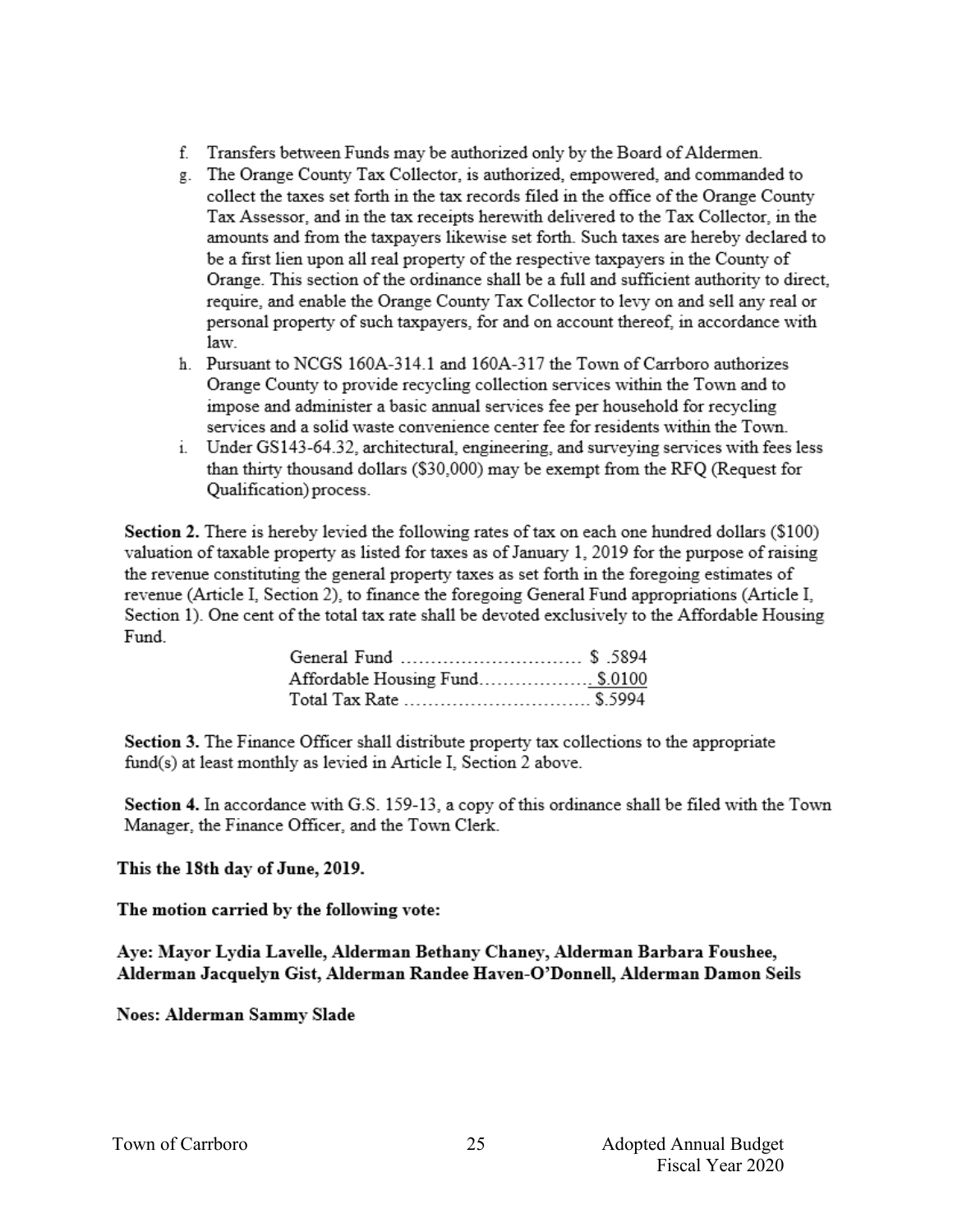- f. Transfers between Funds may be authorized only by the Board of Aldermen.
- g. The Orange County Tax Collector, is authorized, empowered, and commanded to collect the taxes set forth in the tax records filed in the office of the Orange County Tax Assessor, and in the tax receipts herewith delivered to the Tax Collector, in the amounts and from the taxpayers likewise set forth. Such taxes are hereby declared to be a first lien upon all real property of the respective taxpayers in the County of Orange. This section of the ordinance shall be a full and sufficient authority to direct. require, and enable the Orange County Tax Collector to levy on and sell any real or personal property of such taxpayers, for and on account thereof, in accordance with law.
- h. Pursuant to NCGS 160A-314.1 and 160A-317 the Town of Carrboro authorizes Orange County to provide recycling collection services within the Town and to impose and administer a basic annual services fee per household for recycling services and a solid waste convenience center fee for residents within the Town.
- i. Under GS143-64.32, architectural, engineering, and surveying services with fees less than thirty thousand dollars (\$30,000) may be exempt from the RFQ (Request for Oualification) process.

Section 2. There is hereby levied the following rates of tax on each one hundred dollars (\$100) valuation of taxable property as listed for taxes as of January 1, 2019 for the purpose of raising the revenue constituting the general property taxes as set forth in the foregoing estimates of revenue (Article I, Section 2), to finance the foregoing General Fund appropriations (Article I, Section 1). One cent of the total tax rate shall be devoted exclusively to the Affordable Housing Fund

| Affordable Housing Fund\$.0100 |  |
|--------------------------------|--|
| Total Tax Rate  \$.5994        |  |

Section 3. The Finance Officer shall distribute property tax collections to the appropriate fund(s) at least monthly as levied in Article I, Section 2 above.

Section 4. In accordance with G.S. 159-13, a copy of this ordinance shall be filed with the Town Manager, the Finance Officer, and the Town Clerk.

### This the 18th day of June, 2019.

### The motion carried by the following vote:

Aye: Mayor Lydia Lavelle, Alderman Bethany Chaney, Alderman Barbara Foushee, Alderman Jacquelyn Gist, Alderman Randee Haven-O'Donnell, Alderman Damon Seils

Noes: Alderman Sammy Slade